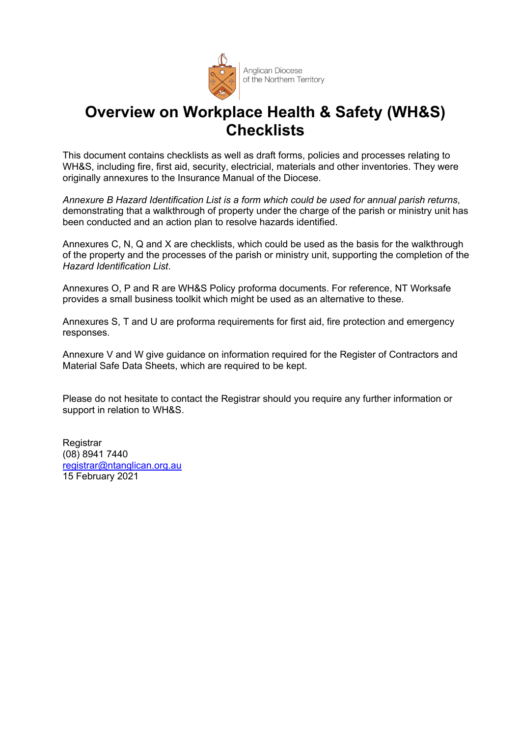

# **Overview on Workplace Health & Safety (WH&S) Checklists**

This document contains checklists as well as draft forms, policies and processes relating to WH&S, including fire, first aid, security, electricial, materials and other inventories. They were originally annexures to the Insurance Manual of the Diocese.

*Annexure B Hazard Identification List is a form which could be used for annual parish returns*, demonstrating that a walkthrough of property under the charge of the parish or ministry unit has been conducted and an action plan to resolve hazards identified.

Annexures C, N, Q and X are checklists, which could be used as the basis for the walkthrough of the property and the processes of the parish or ministry unit, supporting the completion of the *Hazard Identification List*.

Annexures O, P and R are WH&S Policy proforma documents. For reference, NT Worksafe provides a small business toolkit which might be used as an alternative to these.

Annexures S, T and U are proforma requirements for first aid, fire protection and emergency responses.

Annexure V and W give guidance on information required for the Register of Contractors and Material Safe Data Sheets, which are required to be kept.

Please do not hesitate to contact the Registrar should you require any further information or support in relation to WH&S.

**Registrar** (08) 8941 7440 registrar@ntanglican.org.au 15 February 2021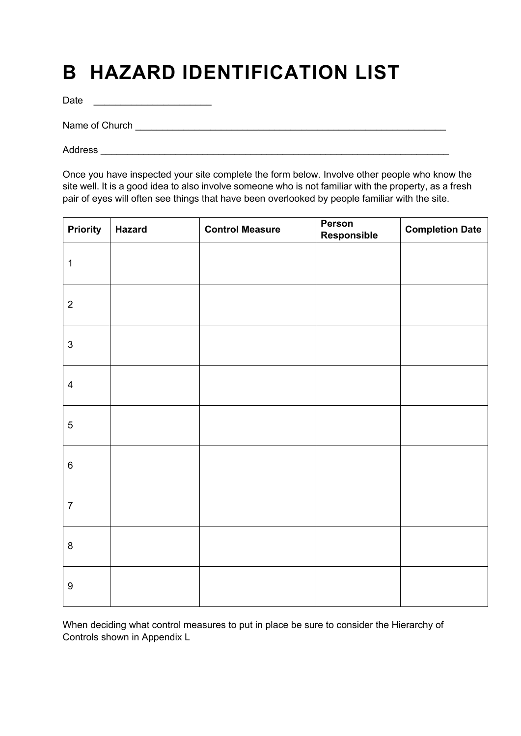# **B HAZARD IDENTIFICATION LIST**

Date \_\_\_\_\_\_\_\_\_\_\_\_\_\_\_\_\_\_\_\_\_\_

Name of Church \_\_\_\_\_\_\_\_\_\_\_\_\_\_\_\_\_\_\_\_\_\_\_\_\_\_\_\_\_\_\_\_\_\_\_\_\_\_\_\_\_\_\_\_\_\_\_\_\_\_\_\_\_\_\_\_\_\_

Address  $\overline{\phantom{a}}$ 

Once you have inspected your site complete the form below. Involve other people who know the site well. It is a good idea to also involve someone who is not familiar with the property, as a fresh pair of eyes will often see things that have been overlooked by people familiar with the site.

| <b>Priority</b>  | <b>Hazard</b> | <b>Control Measure</b> | Person<br><b>Responsible</b> | <b>Completion Date</b> |
|------------------|---------------|------------------------|------------------------------|------------------------|
| $\mathbf{1}$     |               |                        |                              |                        |
| $\sqrt{2}$       |               |                        |                              |                        |
| $\mathfrak{S}$   |               |                        |                              |                        |
| $\overline{4}$   |               |                        |                              |                        |
| $\sqrt{5}$       |               |                        |                              |                        |
| $\,6\,$          |               |                        |                              |                        |
| $\boldsymbol{7}$ |               |                        |                              |                        |
| $\bf 8$          |               |                        |                              |                        |
| $\boldsymbol{9}$ |               |                        |                              |                        |

When deciding what control measures to put in place be sure to consider the Hierarchy of Controls shown in Appendix L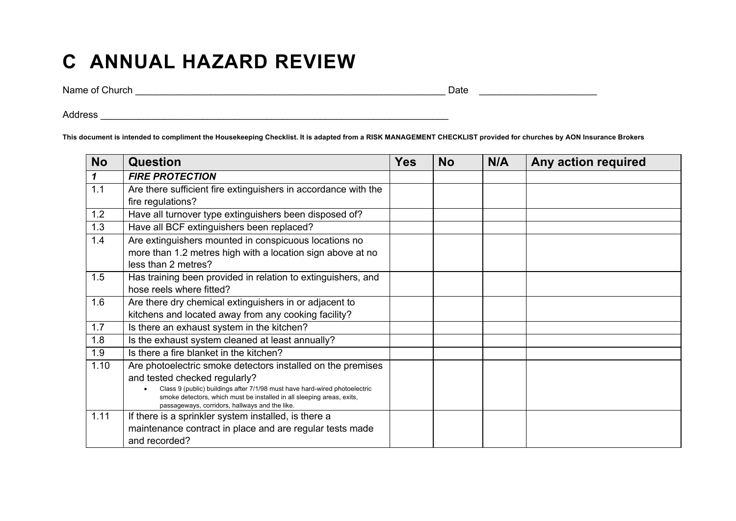# **C ANNUAL HAZARD REVIEW**

Name of Church \_\_\_\_\_\_\_\_\_\_\_\_\_\_\_\_\_\_\_\_\_\_\_\_\_\_\_\_\_\_\_\_\_\_\_\_\_\_\_\_\_\_\_\_\_\_\_\_\_\_\_\_\_\_\_\_\_\_ Date \_\_\_\_\_\_\_\_\_\_\_\_\_\_\_\_\_\_\_\_\_\_

Address \_\_\_\_\_\_\_\_\_\_\_\_\_\_\_\_\_\_\_\_\_\_\_\_\_\_\_\_\_\_\_\_\_\_\_\_\_\_\_\_\_\_\_\_\_\_\_\_\_\_\_\_\_\_\_\_\_\_\_\_\_\_\_\_\_

**This document is intended to compliment the Housekeeping Checklist. It is adapted from a RISK MANAGEMENT CHECKLIST provided for churches by AON Insurance Brokers** 

| <b>No</b> | <b>Question</b>                                                                                                                                                                                                                                                                                        | <b>Yes</b> | <b>No</b> | N/A | Any action required |
|-----------|--------------------------------------------------------------------------------------------------------------------------------------------------------------------------------------------------------------------------------------------------------------------------------------------------------|------------|-----------|-----|---------------------|
| 1         | <b>FIRE PROTECTION</b>                                                                                                                                                                                                                                                                                 |            |           |     |                     |
| 1.1       | Are there sufficient fire extinguishers in accordance with the<br>fire regulations?                                                                                                                                                                                                                    |            |           |     |                     |
| 1.2       | Have all turnover type extinguishers been disposed of?                                                                                                                                                                                                                                                 |            |           |     |                     |
| 1.3       | Have all BCF extinguishers been replaced?                                                                                                                                                                                                                                                              |            |           |     |                     |
| 1.4       | Are extinguishers mounted in conspicuous locations no<br>more than 1.2 metres high with a location sign above at no<br>less than 2 metres?                                                                                                                                                             |            |           |     |                     |
| 1.5       | Has training been provided in relation to extinguishers, and<br>hose reels where fitted?                                                                                                                                                                                                               |            |           |     |                     |
| 1.6       | Are there dry chemical extinguishers in or adjacent to<br>kitchens and located away from any cooking facility?                                                                                                                                                                                         |            |           |     |                     |
| 1.7       | Is there an exhaust system in the kitchen?                                                                                                                                                                                                                                                             |            |           |     |                     |
| 1.8       | Is the exhaust system cleaned at least annually?                                                                                                                                                                                                                                                       |            |           |     |                     |
| 1.9       | Is there a fire blanket in the kitchen?                                                                                                                                                                                                                                                                |            |           |     |                     |
| 1.10      | Are photoelectric smoke detectors installed on the premises<br>and tested checked regularly?<br>Class 9 (public) buildings after 7/1/98 must have hard-wired photoelectric<br>smoke detectors, which must be installed in all sleeping areas, exits,<br>passageways, corridors, hallways and the like. |            |           |     |                     |
| 1.11      | If there is a sprinkler system installed, is there a<br>maintenance contract in place and are regular tests made<br>and recorded?                                                                                                                                                                      |            |           |     |                     |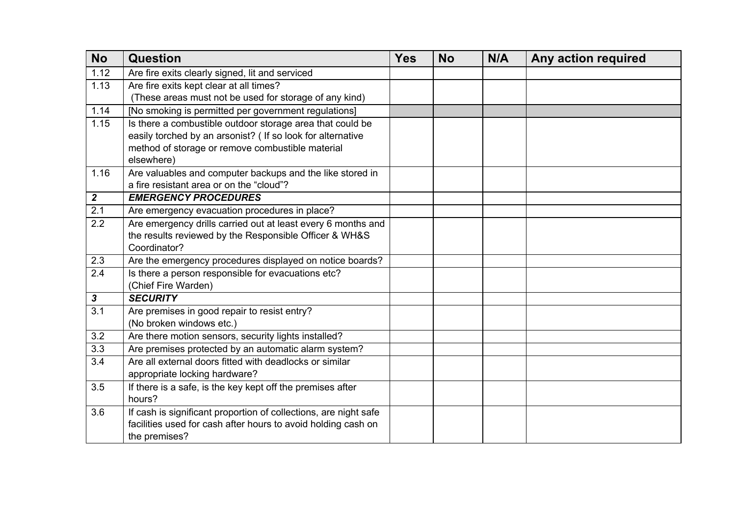| <b>No</b>        | Question                                                         | <b>Yes</b> | <b>No</b> | N/A | Any action required |
|------------------|------------------------------------------------------------------|------------|-----------|-----|---------------------|
| 1.12             | Are fire exits clearly signed, lit and serviced                  |            |           |     |                     |
| 1.13             | Are fire exits kept clear at all times?                          |            |           |     |                     |
|                  | (These areas must not be used for storage of any kind)           |            |           |     |                     |
| 1.14             | [No smoking is permitted per government regulations]             |            |           |     |                     |
| 1.15             | Is there a combustible outdoor storage area that could be        |            |           |     |                     |
|                  | easily torched by an arsonist? ( If so look for alternative      |            |           |     |                     |
|                  | method of storage or remove combustible material                 |            |           |     |                     |
|                  | elsewhere)                                                       |            |           |     |                     |
| 1.16             | Are valuables and computer backups and the like stored in        |            |           |     |                     |
|                  | a fire resistant area or on the "cloud"?                         |            |           |     |                     |
| $\overline{2}$   | <b>EMERGENCY PROCEDURES</b>                                      |            |           |     |                     |
| 2.1              | Are emergency evacuation procedures in place?                    |            |           |     |                     |
| $\overline{2.2}$ | Are emergency drills carried out at least every 6 months and     |            |           |     |                     |
|                  | the results reviewed by the Responsible Officer & WH&S           |            |           |     |                     |
|                  | Coordinator?                                                     |            |           |     |                     |
| 2.3              | Are the emergency procedures displayed on notice boards?         |            |           |     |                     |
| $\overline{2.4}$ | Is there a person responsible for evacuations etc?               |            |           |     |                     |
|                  | (Chief Fire Warden)                                              |            |           |     |                     |
| 3                | <b>SECURITY</b>                                                  |            |           |     |                     |
| $\overline{3.1}$ | Are premises in good repair to resist entry?                     |            |           |     |                     |
|                  | (No broken windows etc.)                                         |            |           |     |                     |
| 3.2              | Are there motion sensors, security lights installed?             |            |           |     |                     |
| 3.3              | Are premises protected by an automatic alarm system?             |            |           |     |                     |
| 3.4              | Are all external doors fitted with deadlocks or similar          |            |           |     |                     |
|                  | appropriate locking hardware?                                    |            |           |     |                     |
| 3.5              | If there is a safe, is the key kept off the premises after       |            |           |     |                     |
|                  | hours?                                                           |            |           |     |                     |
| 3.6              | If cash is significant proportion of collections, are night safe |            |           |     |                     |
|                  | facilities used for cash after hours to avoid holding cash on    |            |           |     |                     |
|                  | the premises?                                                    |            |           |     |                     |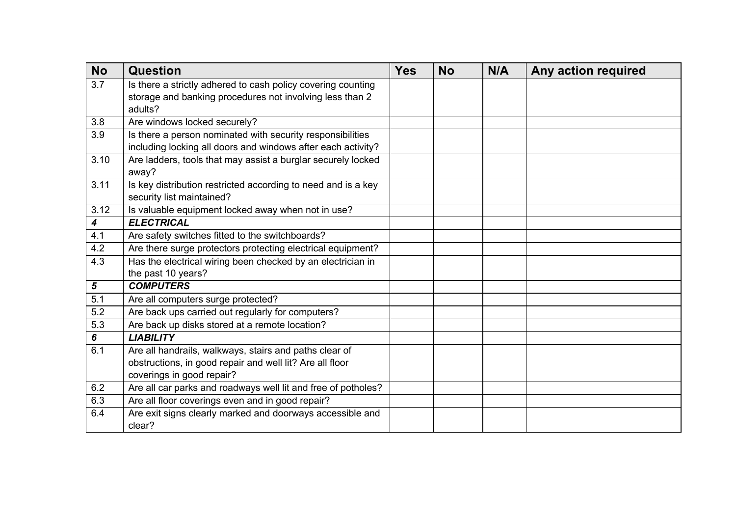| <b>No</b> | <b>Question</b>                                               | <b>Yes</b> | <b>No</b> | N/A | Any action required |
|-----------|---------------------------------------------------------------|------------|-----------|-----|---------------------|
| 3.7       | Is there a strictly adhered to cash policy covering counting  |            |           |     |                     |
|           | storage and banking procedures not involving less than 2      |            |           |     |                     |
|           | adults?                                                       |            |           |     |                     |
| 3.8       | Are windows locked securely?                                  |            |           |     |                     |
| 3.9       | Is there a person nominated with security responsibilities    |            |           |     |                     |
|           | including locking all doors and windows after each activity?  |            |           |     |                     |
| 3.10      | Are ladders, tools that may assist a burglar securely locked  |            |           |     |                     |
|           | away?                                                         |            |           |     |                     |
| 3.11      | Is key distribution restricted according to need and is a key |            |           |     |                     |
|           | security list maintained?                                     |            |           |     |                     |
| 3.12      | Is valuable equipment locked away when not in use?            |            |           |     |                     |
| 4         | <b>ELECTRICAL</b>                                             |            |           |     |                     |
| 4.1       | Are safety switches fitted to the switchboards?               |            |           |     |                     |
| 4.2       | Are there surge protectors protecting electrical equipment?   |            |           |     |                     |
| 4.3       | Has the electrical wiring been checked by an electrician in   |            |           |     |                     |
|           | the past 10 years?                                            |            |           |     |                     |
| 5         | <b>COMPUTERS</b>                                              |            |           |     |                     |
| 5.1       | Are all computers surge protected?                            |            |           |     |                     |
| 5.2       | Are back ups carried out regularly for computers?             |            |           |     |                     |
| 5.3       | Are back up disks stored at a remote location?                |            |           |     |                     |
| 6         | <b>LIABILITY</b>                                              |            |           |     |                     |
| 6.1       | Are all handrails, walkways, stairs and paths clear of        |            |           |     |                     |
|           | obstructions, in good repair and well lit? Are all floor      |            |           |     |                     |
|           | coverings in good repair?                                     |            |           |     |                     |
| 6.2       | Are all car parks and roadways well lit and free of potholes? |            |           |     |                     |
| 6.3       | Are all floor coverings even and in good repair?              |            |           |     |                     |
| 6.4       | Are exit signs clearly marked and doorways accessible and     |            |           |     |                     |
|           | clear?                                                        |            |           |     |                     |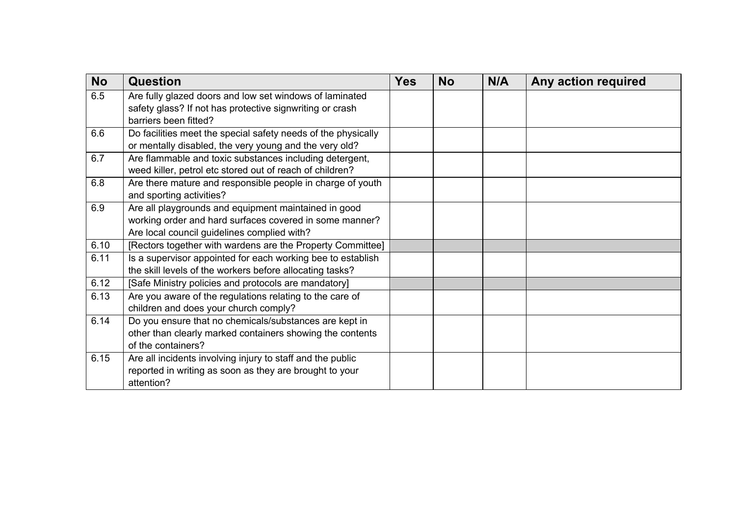| <b>No</b> | <b>Question</b>                                               | <b>Yes</b> | <b>No</b> | N/A | Any action required |
|-----------|---------------------------------------------------------------|------------|-----------|-----|---------------------|
| 6.5       | Are fully glazed doors and low set windows of laminated       |            |           |     |                     |
|           | safety glass? If not has protective signwriting or crash      |            |           |     |                     |
|           | barriers been fitted?                                         |            |           |     |                     |
| 6.6       | Do facilities meet the special safety needs of the physically |            |           |     |                     |
|           | or mentally disabled, the very young and the very old?        |            |           |     |                     |
| 6.7       | Are flammable and toxic substances including detergent,       |            |           |     |                     |
|           | weed killer, petrol etc stored out of reach of children?      |            |           |     |                     |
| 6.8       | Are there mature and responsible people in charge of youth    |            |           |     |                     |
|           | and sporting activities?                                      |            |           |     |                     |
| 6.9       | Are all playgrounds and equipment maintained in good          |            |           |     |                     |
|           | working order and hard surfaces covered in some manner?       |            |           |     |                     |
|           | Are local council guidelines complied with?                   |            |           |     |                     |
| 6.10      | [Rectors together with wardens are the Property Committee]    |            |           |     |                     |
| 6.11      | Is a supervisor appointed for each working bee to establish   |            |           |     |                     |
|           | the skill levels of the workers before allocating tasks?      |            |           |     |                     |
| 6.12      | [Safe Ministry policies and protocols are mandatory]          |            |           |     |                     |
| 6.13      | Are you aware of the regulations relating to the care of      |            |           |     |                     |
|           | children and does your church comply?                         |            |           |     |                     |
| 6.14      | Do you ensure that no chemicals/substances are kept in        |            |           |     |                     |
|           | other than clearly marked containers showing the contents     |            |           |     |                     |
|           | of the containers?                                            |            |           |     |                     |
| 6.15      | Are all incidents involving injury to staff and the public    |            |           |     |                     |
|           | reported in writing as soon as they are brought to your       |            |           |     |                     |
|           | attention?                                                    |            |           |     |                     |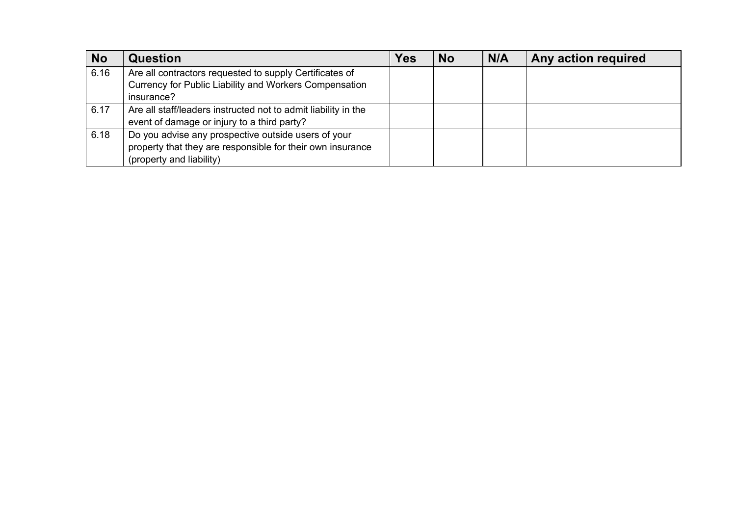| <b>No</b> | <b>Question</b>                                                | Yes | <b>No</b> | N/A | Any action required |
|-----------|----------------------------------------------------------------|-----|-----------|-----|---------------------|
| 6.16      | Are all contractors requested to supply Certificates of        |     |           |     |                     |
|           | Currency for Public Liability and Workers Compensation         |     |           |     |                     |
|           | insurance?                                                     |     |           |     |                     |
| 6.17      | Are all staff/leaders instructed not to admit liability in the |     |           |     |                     |
|           | event of damage or injury to a third party?                    |     |           |     |                     |
| 6.18      | Do you advise any prospective outside users of your            |     |           |     |                     |
|           | property that they are responsible for their own insurance     |     |           |     |                     |
|           | (property and liability)                                       |     |           |     |                     |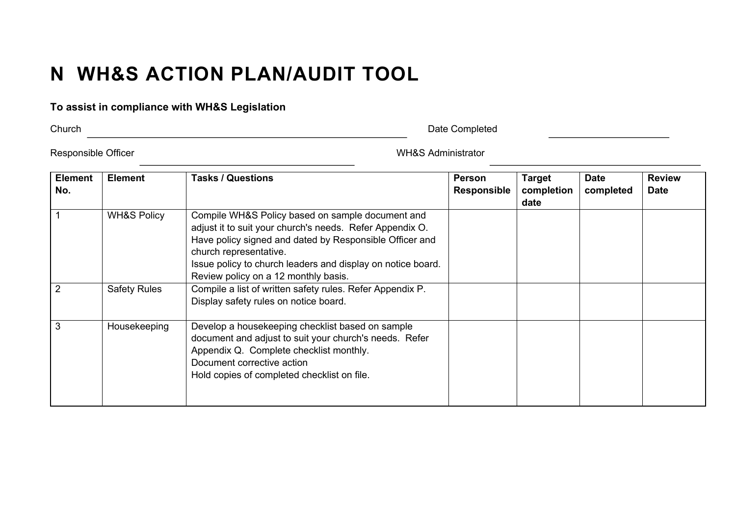# **N WH&S ACTION PLAN/AUDIT TOOL**

## **To assist in compliance with WH&S Legislation**

Church Date Completed

Responsible Officer National Section 2012 12:30 NHC MES Administrator

| <b>Element</b><br>No. | <b>Element</b>         | <b>Tasks / Questions</b>                                                                                                                                                                                                                                                                                 | <b>Person</b><br><b>Responsible</b> | <b>Target</b><br>completion<br>date | <b>Date</b><br>completed | <b>Review</b><br><b>Date</b> |
|-----------------------|------------------------|----------------------------------------------------------------------------------------------------------------------------------------------------------------------------------------------------------------------------------------------------------------------------------------------------------|-------------------------------------|-------------------------------------|--------------------------|------------------------------|
|                       | <b>WH&amp;S Policy</b> | Compile WH&S Policy based on sample document and<br>adjust it to suit your church's needs. Refer Appendix O.<br>Have policy signed and dated by Responsible Officer and<br>church representative.<br>Issue policy to church leaders and display on notice board.<br>Review policy on a 12 monthly basis. |                                     |                                     |                          |                              |
|                       | <b>Safety Rules</b>    | Compile a list of written safety rules. Refer Appendix P.<br>Display safety rules on notice board.                                                                                                                                                                                                       |                                     |                                     |                          |                              |
| 3                     | Housekeeping           | Develop a housekeeping checklist based on sample<br>document and adjust to suit your church's needs. Refer<br>Appendix Q. Complete checklist monthly.<br>Document corrective action<br>Hold copies of completed checklist on file.                                                                       |                                     |                                     |                          |                              |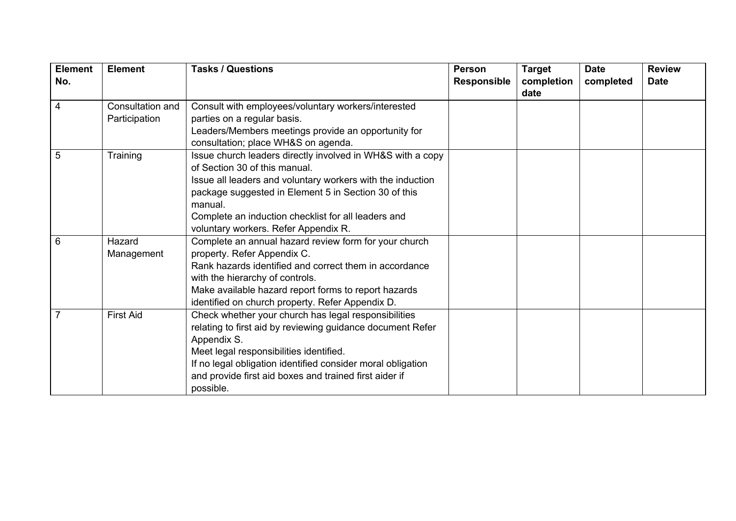| <b>Element</b> | <b>Element</b>                    | <b>Tasks / Questions</b>                                                                                                                                                                                                                                                                                                    | <b>Person</b>      | <b>Target</b>      | <b>Date</b> | <b>Review</b> |
|----------------|-----------------------------------|-----------------------------------------------------------------------------------------------------------------------------------------------------------------------------------------------------------------------------------------------------------------------------------------------------------------------------|--------------------|--------------------|-------------|---------------|
| No.            |                                   |                                                                                                                                                                                                                                                                                                                             | <b>Responsible</b> | completion<br>date | completed   | <b>Date</b>   |
| $\overline{4}$ | Consultation and<br>Participation | Consult with employees/voluntary workers/interested<br>parties on a regular basis.<br>Leaders/Members meetings provide an opportunity for<br>consultation; place WH&S on agenda.                                                                                                                                            |                    |                    |             |               |
| 5              | Training                          | Issue church leaders directly involved in WH&S with a copy<br>of Section 30 of this manual.<br>Issue all leaders and voluntary workers with the induction<br>package suggested in Element 5 in Section 30 of this<br>manual.<br>Complete an induction checklist for all leaders and<br>voluntary workers. Refer Appendix R. |                    |                    |             |               |
| 6              | Hazard<br>Management              | Complete an annual hazard review form for your church<br>property. Refer Appendix C.<br>Rank hazards identified and correct them in accordance<br>with the hierarchy of controls.<br>Make available hazard report forms to report hazards<br>identified on church property. Refer Appendix D.                               |                    |                    |             |               |
|                | <b>First Aid</b>                  | Check whether your church has legal responsibilities<br>relating to first aid by reviewing guidance document Refer<br>Appendix S.<br>Meet legal responsibilities identified.<br>If no legal obligation identified consider moral obligation<br>and provide first aid boxes and trained first aider if<br>possible.          |                    |                    |             |               |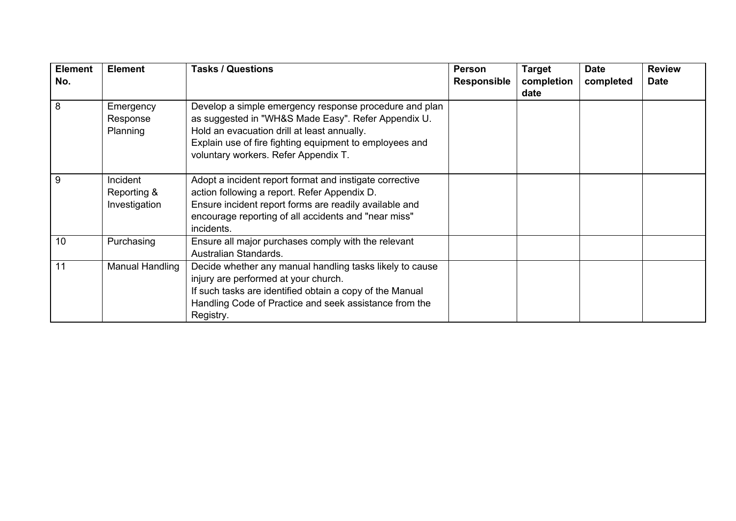| <b>Element</b> | <b>Element</b>  | <b>Tasks / Questions</b>                                 | <b>Person</b>      | <b>Target</b> | <b>Date</b> | <b>Review</b> |
|----------------|-----------------|----------------------------------------------------------|--------------------|---------------|-------------|---------------|
| No.            |                 |                                                          | <b>Responsible</b> | completion    | completed   | <b>Date</b>   |
|                |                 |                                                          |                    | date          |             |               |
| 8              | Emergency       | Develop a simple emergency response procedure and plan   |                    |               |             |               |
|                | Response        | as suggested in "WH&S Made Easy". Refer Appendix U.      |                    |               |             |               |
|                | Planning        | Hold an evacuation drill at least annually.              |                    |               |             |               |
|                |                 | Explain use of fire fighting equipment to employees and  |                    |               |             |               |
|                |                 | voluntary workers. Refer Appendix T.                     |                    |               |             |               |
|                |                 |                                                          |                    |               |             |               |
| 9              | Incident        | Adopt a incident report format and instigate corrective  |                    |               |             |               |
|                | Reporting &     | action following a report. Refer Appendix D.             |                    |               |             |               |
|                | Investigation   | Ensure incident report forms are readily available and   |                    |               |             |               |
|                |                 | encourage reporting of all accidents and "near miss"     |                    |               |             |               |
|                |                 | incidents.                                               |                    |               |             |               |
| 10             | Purchasing      | Ensure all major purchases comply with the relevant      |                    |               |             |               |
|                |                 | Australian Standards.                                    |                    |               |             |               |
| 11             | Manual Handling | Decide whether any manual handling tasks likely to cause |                    |               |             |               |
|                |                 | injury are performed at your church.                     |                    |               |             |               |
|                |                 | If such tasks are identified obtain a copy of the Manual |                    |               |             |               |
|                |                 | Handling Code of Practice and seek assistance from the   |                    |               |             |               |
|                |                 | Registry.                                                |                    |               |             |               |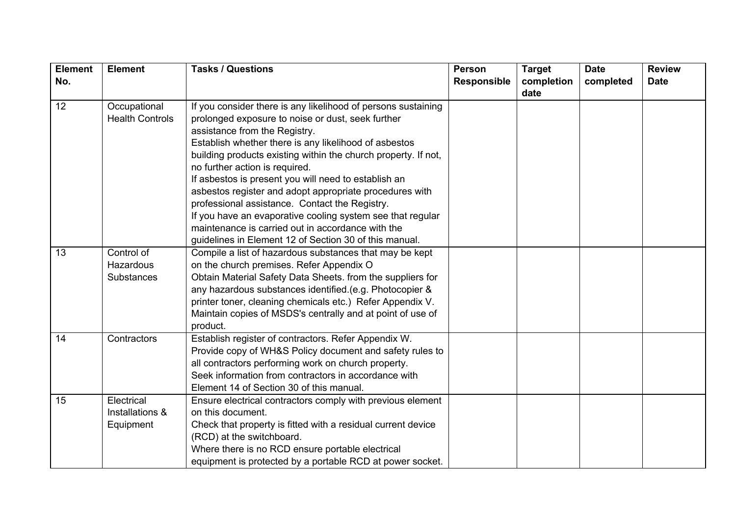| <b>Element</b> | <b>Element</b>         | <b>Tasks / Questions</b>                                       | <b>Person</b>      | <b>Target</b> | <b>Date</b> | <b>Review</b> |
|----------------|------------------------|----------------------------------------------------------------|--------------------|---------------|-------------|---------------|
| No.            |                        |                                                                | <b>Responsible</b> | completion    | completed   | <b>Date</b>   |
|                |                        |                                                                |                    | date          |             |               |
| 12             | Occupational           | If you consider there is any likelihood of persons sustaining  |                    |               |             |               |
|                | <b>Health Controls</b> | prolonged exposure to noise or dust, seek further              |                    |               |             |               |
|                |                        | assistance from the Registry.                                  |                    |               |             |               |
|                |                        | Establish whether there is any likelihood of asbestos          |                    |               |             |               |
|                |                        | building products existing within the church property. If not, |                    |               |             |               |
|                |                        | no further action is required.                                 |                    |               |             |               |
|                |                        | If asbestos is present you will need to establish an           |                    |               |             |               |
|                |                        | asbestos register and adopt appropriate procedures with        |                    |               |             |               |
|                |                        | professional assistance. Contact the Registry.                 |                    |               |             |               |
|                |                        | If you have an evaporative cooling system see that regular     |                    |               |             |               |
|                |                        | maintenance is carried out in accordance with the              |                    |               |             |               |
|                |                        | guidelines in Element 12 of Section 30 of this manual.         |                    |               |             |               |
| 13             | Control of             | Compile a list of hazardous substances that may be kept        |                    |               |             |               |
|                | <b>Hazardous</b>       | on the church premises. Refer Appendix O                       |                    |               |             |               |
|                | <b>Substances</b>      | Obtain Material Safety Data Sheets. from the suppliers for     |                    |               |             |               |
|                |                        | any hazardous substances identified.(e.g. Photocopier &        |                    |               |             |               |
|                |                        | printer toner, cleaning chemicals etc.) Refer Appendix V.      |                    |               |             |               |
|                |                        | Maintain copies of MSDS's centrally and at point of use of     |                    |               |             |               |
|                |                        | product.                                                       |                    |               |             |               |
| 14             | Contractors            | Establish register of contractors. Refer Appendix W.           |                    |               |             |               |
|                |                        | Provide copy of WH&S Policy document and safety rules to       |                    |               |             |               |
|                |                        | all contractors performing work on church property.            |                    |               |             |               |
|                |                        | Seek information from contractors in accordance with           |                    |               |             |               |
|                |                        | Element 14 of Section 30 of this manual.                       |                    |               |             |               |
| 15             | Electrical             | Ensure electrical contractors comply with previous element     |                    |               |             |               |
|                | Installations &        | on this document.                                              |                    |               |             |               |
|                | Equipment              | Check that property is fitted with a residual current device   |                    |               |             |               |
|                |                        | (RCD) at the switchboard.                                      |                    |               |             |               |
|                |                        | Where there is no RCD ensure portable electrical               |                    |               |             |               |
|                |                        | equipment is protected by a portable RCD at power socket.      |                    |               |             |               |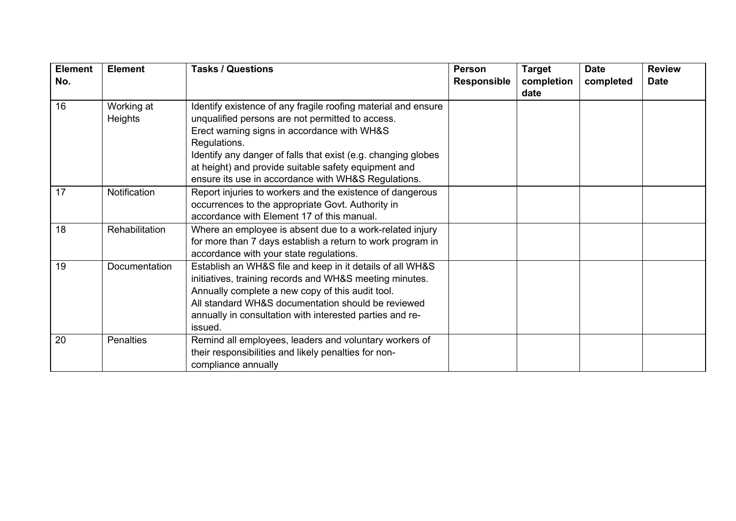| <b>Element</b> | <b>Element</b>   | <b>Tasks / Questions</b>                                      | <b>Person</b>      | <b>Target</b> | <b>Date</b> | <b>Review</b> |
|----------------|------------------|---------------------------------------------------------------|--------------------|---------------|-------------|---------------|
| No.            |                  |                                                               | <b>Responsible</b> | completion    | completed   | <b>Date</b>   |
|                |                  |                                                               |                    | date          |             |               |
| 16             | Working at       | Identify existence of any fragile roofing material and ensure |                    |               |             |               |
|                | Heights          | unqualified persons are not permitted to access.              |                    |               |             |               |
|                |                  | Erect warning signs in accordance with WH&S                   |                    |               |             |               |
|                |                  | Regulations.                                                  |                    |               |             |               |
|                |                  | Identify any danger of falls that exist (e.g. changing globes |                    |               |             |               |
|                |                  | at height) and provide suitable safety equipment and          |                    |               |             |               |
|                |                  | ensure its use in accordance with WH&S Regulations.           |                    |               |             |               |
| 17             | Notification     | Report injuries to workers and the existence of dangerous     |                    |               |             |               |
|                |                  | occurrences to the appropriate Govt. Authority in             |                    |               |             |               |
|                |                  | accordance with Element 17 of this manual.                    |                    |               |             |               |
| 18             | Rehabilitation   | Where an employee is absent due to a work-related injury      |                    |               |             |               |
|                |                  | for more than 7 days establish a return to work program in    |                    |               |             |               |
|                |                  | accordance with your state regulations.                       |                    |               |             |               |
| 19             | Documentation    | Establish an WH&S file and keep in it details of all WH&S     |                    |               |             |               |
|                |                  | initiatives, training records and WH&S meeting minutes.       |                    |               |             |               |
|                |                  | Annually complete a new copy of this audit tool.              |                    |               |             |               |
|                |                  | All standard WH&S documentation should be reviewed            |                    |               |             |               |
|                |                  | annually in consultation with interested parties and re-      |                    |               |             |               |
|                |                  | issued.                                                       |                    |               |             |               |
| 20             | <b>Penalties</b> | Remind all employees, leaders and voluntary workers of        |                    |               |             |               |
|                |                  | their responsibilities and likely penalties for non-          |                    |               |             |               |
|                |                  | compliance annually                                           |                    |               |             |               |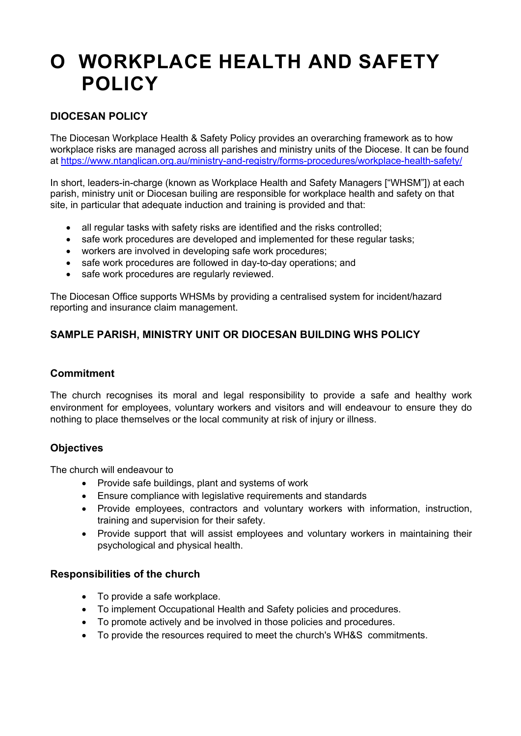# **O WORKPLACE HEALTH AND SAFETY POLICY**

## **DIOCESAN POLICY**

The Diocesan Workplace Health & Safety Policy provides an overarching framework as to how workplace risks are managed across all parishes and ministry units of the Diocese. It can be found at https://www.ntanglican.org.au/ministry-and-registry/forms-procedures/workplace-health-safety/

In short, leaders-in-charge (known as Workplace Health and Safety Managers ["WHSM"]) at each parish, ministry unit or Diocesan builing are responsible for workplace health and safety on that site, in particular that adequate induction and training is provided and that:

- all regular tasks with safety risks are identified and the risks controlled:
- safe work procedures are developed and implemented for these regular tasks;
- workers are involved in developing safe work procedures;
- safe work procedures are followed in day-to-day operations; and
- safe work procedures are regularly reviewed.

The Diocesan Office supports WHSMs by providing a centralised system for incident/hazard reporting and insurance claim management.

# **SAMPLE PARISH, MINISTRY UNIT OR DIOCESAN BUILDING WHS POLICY**

## **Commitment**

The church recognises its moral and legal responsibility to provide a safe and healthy work environment for employees, voluntary workers and visitors and will endeavour to ensure they do nothing to place themselves or the local community at risk of injury or illness.

## **Objectives**

The church will endeavour to

- Provide safe buildings, plant and systems of work
- Ensure compliance with legislative requirements and standards
- Provide employees, contractors and voluntary workers with information, instruction, training and supervision for their safety.
- Provide support that will assist employees and voluntary workers in maintaining their psychological and physical health.

## **Responsibilities of the church**

- To provide a safe workplace.
- To implement Occupational Health and Safety policies and procedures.
- To promote actively and be involved in those policies and procedures.
- To provide the resources required to meet the church's WH&S commitments.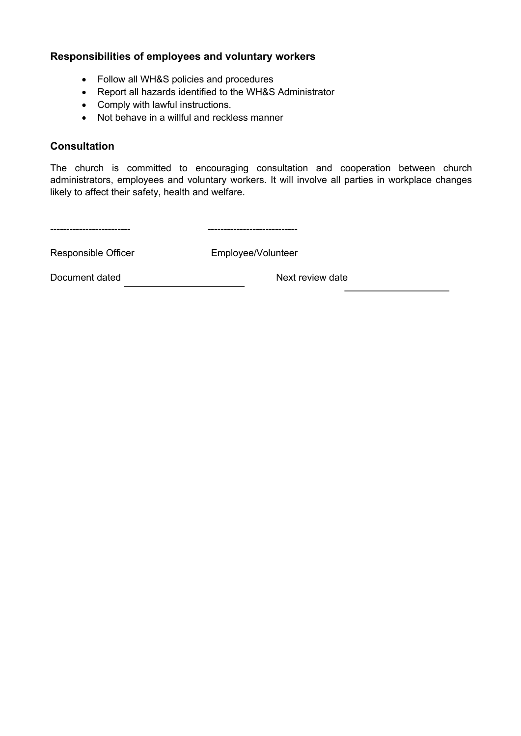## **Responsibilities of employees and voluntary workers**

- Follow all WH&S policies and procedures
- Report all hazards identified to the WH&S Administrator
- Comply with lawful instructions.
- Not behave in a willful and reckless manner

## **Consultation**

The church is committed to encouraging consultation and cooperation between church administrators, employees and voluntary workers. It will involve all parties in workplace changes likely to affect their safety, health and welfare.

------------------------- ----------------------------

Responsible Officer Employee/Volunteer

Document dated Next review date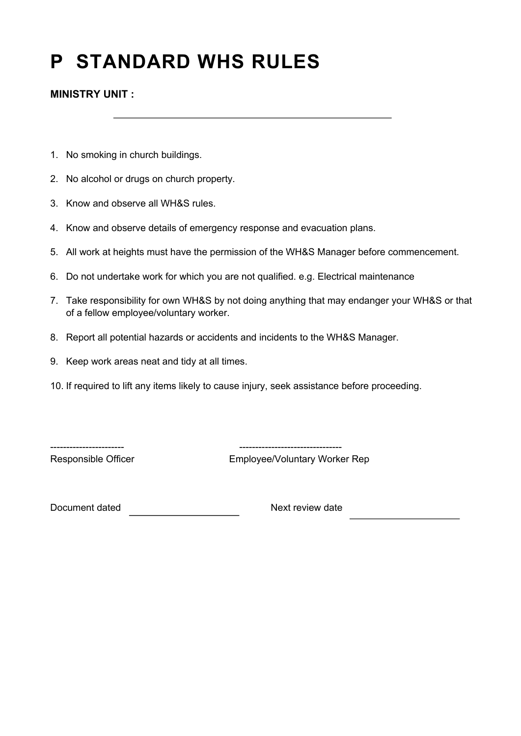# **P STANDARD WHS RULES**

**MINISTRY UNIT :**

- 1. No smoking in church buildings.
- 2. No alcohol or drugs on church property.
- 3. Know and observe all WH&S rules.
- 4. Know and observe details of emergency response and evacuation plans.
- 5. All work at heights must have the permission of the WH&S Manager before commencement.
- 6. Do not undertake work for which you are not qualified. e.g. Electrical maintenance
- 7. Take responsibility for own WH&S by not doing anything that may endanger your WH&S or that of a fellow employee/voluntary worker.
- 8. Report all potential hazards or accidents and incidents to the WH&S Manager.
- 9. Keep work areas neat and tidy at all times.
- 10. If required to lift any items likely to cause injury, seek assistance before proceeding.

----------------------- --------------------------------

Responsible Officer **Employee/Voluntary Worker Rep** 

Document dated Next review date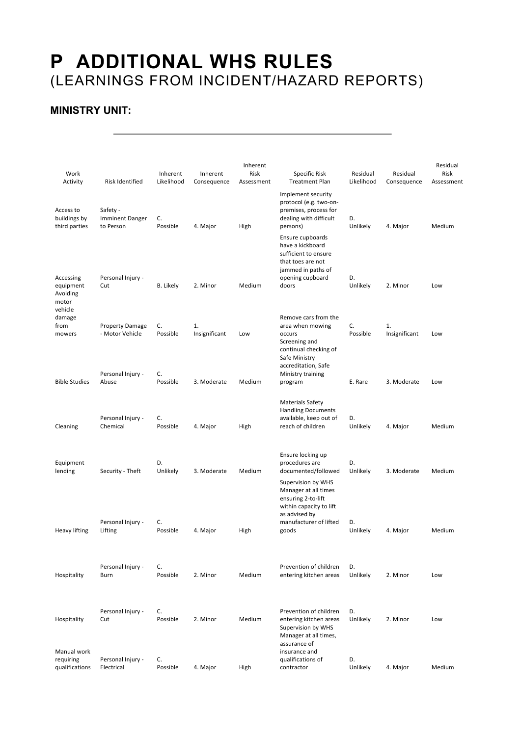# **P ADDITIONAL WHS RULES** (LEARNINGS FROM INCIDENT/HAZARD REPORTS)

# **MINISTRY UNIT:**

| Work<br>Activity                            | <b>Risk Identified</b>                          | Inherent<br>Likelihood | Inherent<br>Consequence | Inherent<br>Risk<br>Assessment | Specific Risk<br><b>Treatment Plan</b>                                                                                                 | Residual<br>Likelihood | Residual<br>Consequence | Residual<br>Risk<br>Assessment |
|---------------------------------------------|-------------------------------------------------|------------------------|-------------------------|--------------------------------|----------------------------------------------------------------------------------------------------------------------------------------|------------------------|-------------------------|--------------------------------|
| Access to<br>buildings by<br>third parties  | Safety -<br><b>Imminent Danger</b><br>to Person | C.<br>Possible         | 4. Major                | High                           | Implement security<br>protocol (e.g. two-on-<br>premises, process for<br>dealing with difficult<br>persons)                            | D.<br>Unlikely         | 4. Major                | Medium                         |
|                                             |                                                 |                        |                         |                                | Ensure cupboards<br>have a kickboard<br>sufficient to ensure<br>that toes are not<br>jammed in paths of                                |                        |                         |                                |
| Accessing<br>equipment<br>Avoiding<br>motor | Personal Injury -<br>Cut                        | <b>B.</b> Likely       | 2. Minor                | Medium                         | opening cupboard<br>doors                                                                                                              | D.<br>Unlikely         | 2. Minor                | Low                            |
| vehicle<br>damage<br>from<br>mowers         | <b>Property Damage</b><br>- Motor Vehicle       | C.<br>Possible         | 1.<br>Insignificant     | Low                            | Remove cars from the<br>area when mowing<br>occurs<br>Screening and<br>continual checking of<br>Safe Ministry                          | C.<br>Possible         | 1.<br>Insignificant     | Low                            |
| <b>Bible Studies</b>                        | Personal Injury -<br>Abuse                      | C.<br>Possible         | 3. Moderate             | Medium                         | accreditation, Safe<br>Ministry training<br>program                                                                                    | E. Rare                | 3. Moderate             | Low                            |
| Cleaning                                    | Personal Injury -<br>Chemical                   | C.<br>Possible         | 4. Major                | High                           | <b>Materials Safety</b><br><b>Handling Documents</b><br>available, keep out of<br>reach of children                                    | D.<br>Unlikely         | 4. Major                | Medium                         |
| Equipment<br>lending                        | Security - Theft                                | D.<br>Unlikely         | 3. Moderate             | Medium                         | Ensure locking up<br>procedures are<br>documented/followed                                                                             | D.<br>Unlikely         | 3. Moderate             | Medium                         |
|                                             | Personal Injury -                               | C.                     |                         |                                | Supervision by WHS<br>Manager at all times<br>ensuring 2-to-lift<br>within capacity to lift<br>as advised by<br>manufacturer of lifted | D.                     |                         |                                |
| <b>Heavy lifting</b>                        | Lifting                                         | Possible               | 4. Major                | High                           | goods                                                                                                                                  | Unlikely               | 4. Major                | Medium                         |
| Hospitality                                 | Personal Injury -<br>Burn                       | C.<br>Possible         | 2. Minor                | Medium                         | Prevention of children<br>entering kitchen areas                                                                                       | D.<br>Unlikely         | 2. Minor                | Low                            |
| Hospitality                                 | Personal Injury -<br>Cut                        | C.<br>Possible         | 2. Minor                | Medium                         | Prevention of children<br>entering kitchen areas<br>Supervision by WHS<br>Manager at all times,<br>assurance of                        | D.<br>Unlikely         | 2. Minor                | Low                            |
| Manual work<br>requiring<br>qualifications  | Personal Injury -<br>Electrical                 | C.<br>Possible         | 4. Major                | High                           | insurance and<br>qualifications of<br>contractor                                                                                       | D.<br>Unlikely         | 4. Major                | Medium                         |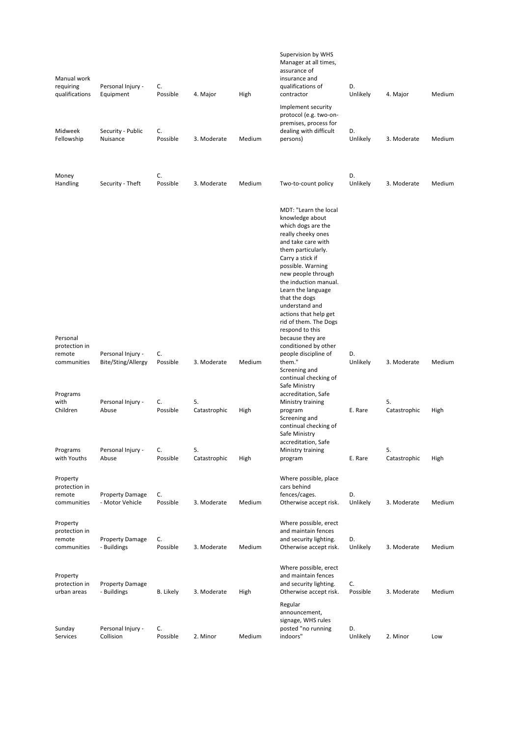| Manual work<br>requiring<br>qualifications         | Personal Injury -<br>Equipment            | C.<br>Possible | 4. Major           | High   | Supervision by WHS<br>Manager at all times,<br>assurance of<br>insurance and<br>qualifications of<br>contractor                                                                                                                                                                                                                                                                                    | D.<br>Unlikely | 4. Major           | Medium |
|----------------------------------------------------|-------------------------------------------|----------------|--------------------|--------|----------------------------------------------------------------------------------------------------------------------------------------------------------------------------------------------------------------------------------------------------------------------------------------------------------------------------------------------------------------------------------------------------|----------------|--------------------|--------|
| Midweek                                            | Security - Public                         | C.             |                    |        | Implement security<br>protocol (e.g. two-on-<br>premises, process for<br>dealing with difficult                                                                                                                                                                                                                                                                                                    | D.             |                    |        |
| Fellowship                                         | Nuisance                                  | Possible       | 3. Moderate        | Medium | persons)                                                                                                                                                                                                                                                                                                                                                                                           | Unlikely       | 3. Moderate        | Medium |
| Money<br>Handling                                  | Security - Theft                          | C.<br>Possible | 3. Moderate        | Medium | Two-to-count policy                                                                                                                                                                                                                                                                                                                                                                                | D.<br>Unlikely | 3. Moderate        | Medium |
| Personal                                           |                                           |                |                    |        | MDT: "Learn the local<br>knowledge about<br>which dogs are the<br>really cheeky ones<br>and take care with<br>them particularly.<br>Carry a stick if<br>possible. Warning<br>new people through<br>the induction manual.<br>Learn the language<br>that the dogs<br>understand and<br>actions that help get<br>rid of them. The Dogs<br>respond to this<br>because they are<br>conditioned by other |                |                    |        |
| protection in<br>remote<br>communities             | Personal Injury -<br>Bite/Sting/Allergy   | C.<br>Possible | 3. Moderate        | Medium | people discipline of<br>them."<br>Screening and<br>continual checking of<br>Safe Ministry                                                                                                                                                                                                                                                                                                          | D.<br>Unlikely | 3. Moderate        | Medium |
| Programs<br>with<br>Children                       | Personal Injury -<br>Abuse                | C.<br>Possible | 5.<br>Catastrophic | High   | accreditation, Safe<br>Ministry training<br>program<br>Screening and<br>continual checking of<br>Safe Ministry<br>accreditation, Safe                                                                                                                                                                                                                                                              | E. Rare        | 5.<br>Catastrophic | High   |
| Programs<br>with Youths                            | Personal Injury -<br>Abuse                | C.<br>Possible | 5.<br>Catastrophic | High   | Ministry training<br>program                                                                                                                                                                                                                                                                                                                                                                       | E. Rare        | 5.<br>Catastrophic | High   |
| Property<br>protection in<br>remote<br>communities | <b>Property Damage</b><br>- Motor Vehicle | C.<br>Possible | 3. Moderate        | Medium | Where possible, place<br>cars behind<br>fences/cages.<br>Otherwise accept risk.                                                                                                                                                                                                                                                                                                                    | D.<br>Unlikely | 3. Moderate        | Medium |
| Property<br>protection in<br>remote<br>communities | <b>Property Damage</b><br>- Buildings     | C.<br>Possible | 3. Moderate        | Medium | Where possible, erect<br>and maintain fences<br>and security lighting.<br>Otherwise accept risk.                                                                                                                                                                                                                                                                                                   | D.<br>Unlikely | 3. Moderate        | Medium |
| Property<br>protection in<br>urban areas           | <b>Property Damage</b><br>- Buildings     | B. Likely      | 3. Moderate        | High   | Where possible, erect<br>and maintain fences<br>and security lighting.<br>Otherwise accept risk.                                                                                                                                                                                                                                                                                                   | C.<br>Possible | 3. Moderate        | Medium |
| Sunday<br>Services                                 | Personal Injury -<br>Collision            | C.<br>Possible | 2. Minor           | Medium | Regular<br>announcement,<br>signage, WHS rules<br>posted "no running<br>indoors"                                                                                                                                                                                                                                                                                                                   | D.<br>Unlikely | 2. Minor           | Low    |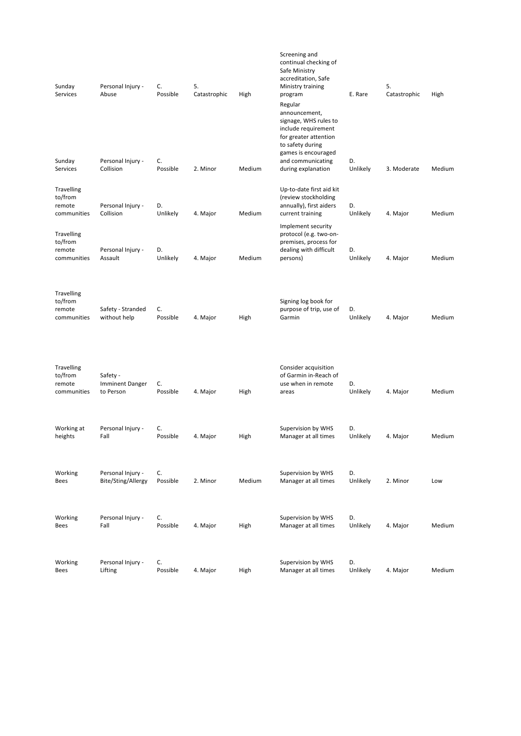| Sunday<br>Services                                    | Personal Injury -<br>Abuse                      | C.<br>Possible | 5.<br>Catastrophic | High   | Screening and<br>continual checking of<br>Safe Ministry<br>accreditation, Safe<br>Ministry training<br>program<br>Regular<br>announcement,<br>signage, WHS rules to<br>include requirement<br>for greater attention<br>to safety during | E. Rare        | 5.<br>Catastrophic | High   |
|-------------------------------------------------------|-------------------------------------------------|----------------|--------------------|--------|-----------------------------------------------------------------------------------------------------------------------------------------------------------------------------------------------------------------------------------------|----------------|--------------------|--------|
| Sunday<br>Services                                    | Personal Injury -<br>Collision                  | C.<br>Possible | 2. Minor           | Medium | games is encouraged<br>and communicating<br>during explanation                                                                                                                                                                          | D.<br>Unlikely | 3. Moderate        | Medium |
| <b>Travelling</b><br>to/from<br>remote<br>communities | Personal Injury -<br>Collision                  | D.<br>Unlikely | 4. Major           | Medium | Up-to-date first aid kit<br>(review stockholding<br>annually), first aiders<br>current training                                                                                                                                         | D.<br>Unlikely | 4. Major           | Medium |
| <b>Travelling</b><br>to/from<br>remote<br>communities | Personal Injury -<br>Assault                    | D.<br>Unlikely | 4. Major           | Medium | Implement security<br>protocol (e.g. two-on-<br>premises, process for<br>dealing with difficult<br>persons)                                                                                                                             | D.<br>Unlikely | 4. Major           | Medium |
| Travelling<br>to/from<br>remote<br>communities        | Safety - Stranded<br>without help               | C.<br>Possible | 4. Major           | High   | Signing log book for<br>purpose of trip, use of<br>Garmin                                                                                                                                                                               | D.<br>Unlikely | 4. Major           | Medium |
| <b>Travelling</b><br>to/from<br>remote<br>communities | Safety -<br><b>Imminent Danger</b><br>to Person | C.<br>Possible | 4. Major           | High   | Consider acquisition<br>of Garmin in-Reach of<br>use when in remote<br>areas                                                                                                                                                            | D.<br>Unlikely | 4. Major           | Medium |
| Working at<br>heights                                 | Personal Injury -<br>Fall                       | C.<br>Possible | 4. Major           | High   | Supervision by WHS<br>Manager at all times                                                                                                                                                                                              | D.<br>Unlikely | 4. Major           | Medium |
| Working<br>Bees                                       | Personal Injury -<br>Bite/Sting/Allergy         | C.<br>Possible | 2. Minor           | Medium | Supervision by WHS<br>Manager at all times                                                                                                                                                                                              | D.<br>Unlikely | 2. Minor           | Low    |
| Working<br>Bees                                       | Personal Injury -<br>Fall                       | C.<br>Possible | 4. Major           | High   | Supervision by WHS<br>Manager at all times                                                                                                                                                                                              | D.<br>Unlikely | 4. Major           | Medium |
| Working<br>Bees                                       | Personal Injury -<br>Lifting                    | C.<br>Possible | 4. Major           | High   | Supervision by WHS<br>Manager at all times                                                                                                                                                                                              | D.<br>Unlikely | 4. Major           | Medium |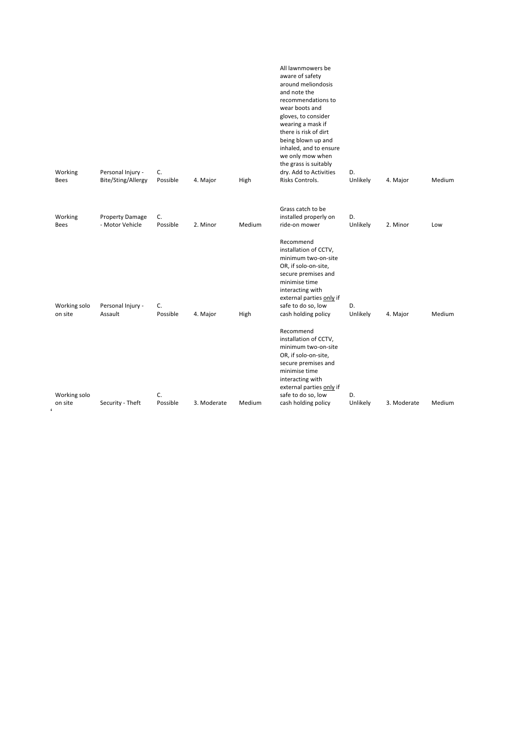| Working<br><b>Bees</b>  | Personal Injury -<br>Bite/Sting/Allergy   | C.<br>Possible | 4. Major    | High   | All lawnmowers be<br>aware of safety<br>around meliondosis<br>and note the<br>recommendations to<br>wear boots and<br>gloves, to consider<br>wearing a mask if<br>there is risk of dirt<br>being blown up and<br>inhaled, and to ensure<br>we only mow when<br>the grass is suitably<br>dry. Add to Activities<br>Risks Controls. | D.<br>Unlikely | 4. Major    | Medium |
|-------------------------|-------------------------------------------|----------------|-------------|--------|-----------------------------------------------------------------------------------------------------------------------------------------------------------------------------------------------------------------------------------------------------------------------------------------------------------------------------------|----------------|-------------|--------|
|                         |                                           |                |             |        |                                                                                                                                                                                                                                                                                                                                   |                |             |        |
| Working<br>Bees         | <b>Property Damage</b><br>- Motor Vehicle | C.<br>Possible | 2. Minor    | Medium | Grass catch to be<br>installed properly on<br>ride-on mower                                                                                                                                                                                                                                                                       | D.<br>Unlikely | 2. Minor    | Low    |
| Working solo<br>on site | Personal Injury -<br>Assault              | C.<br>Possible | 4. Major    | High   | Recommend<br>installation of CCTV,<br>minimum two-on-site<br>OR, if solo-on-site,<br>secure premises and<br>minimise time<br>interacting with<br>external parties only if<br>safe to do so, low<br>cash holding policy                                                                                                            | D.<br>Unlikely | 4. Major    | Medium |
| Working solo            |                                           | C.             |             |        | Recommend<br>installation of CCTV,<br>minimum two-on-site<br>OR, if solo-on-site,<br>secure premises and<br>minimise time<br>interacting with<br>external parties only if<br>safe to do so, low                                                                                                                                   | D.             |             |        |
| on site                 | Security - Theft                          | Possible       | 3. Moderate | Medium | cash holding policy                                                                                                                                                                                                                                                                                                               | Unlikely       | 3. Moderate | Medium |
|                         |                                           |                |             |        |                                                                                                                                                                                                                                                                                                                                   |                |             |        |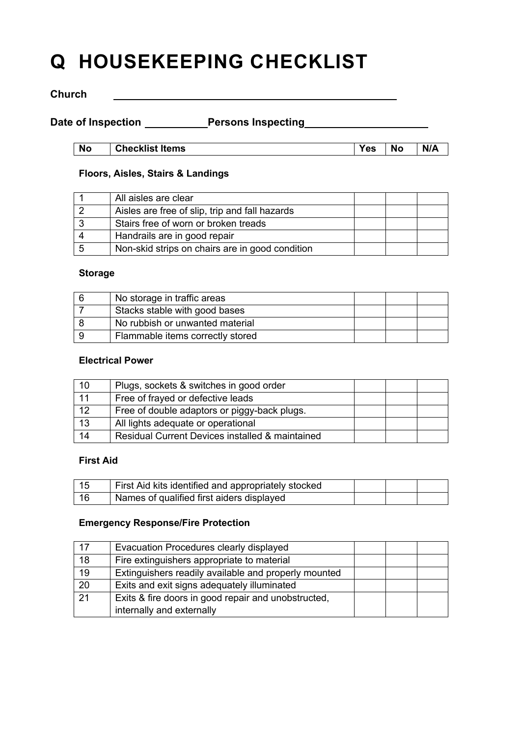# **Q HOUSEKEEPING CHECKLIST**

## **Church**

Date of Inspection \_\_\_\_\_\_\_\_\_Persons Inspecting\_\_\_\_\_\_\_\_\_\_\_\_\_\_\_\_\_\_\_\_\_\_\_\_\_\_\_\_\_\_\_\_\_\_\_

| <b>No</b> | <b>CL</b><br>Items<br><b>Checklist</b> | es | No | NI/A<br>$\cdots$ |
|-----------|----------------------------------------|----|----|------------------|

## **Floors, Aisles, Stairs & Landings**

| All aisles are clear                            |  |  |
|-------------------------------------------------|--|--|
| Aisles are free of slip, trip and fall hazards  |  |  |
| Stairs free of worn or broken treads            |  |  |
| Handrails are in good repair                    |  |  |
| Non-skid strips on chairs are in good condition |  |  |

## **Storage**

| No storage in traffic areas      |  |  |
|----------------------------------|--|--|
| Stacks stable with good bases    |  |  |
| No rubbish or unwanted material  |  |  |
| Flammable items correctly stored |  |  |

## **Electrical Power**

| 10 | Plugs, sockets & switches in good order         |  |  |
|----|-------------------------------------------------|--|--|
| 11 | Free of frayed or defective leads               |  |  |
| 12 | Free of double adaptors or piggy-back plugs.    |  |  |
| 13 | All lights adequate or operational              |  |  |
| 14 | Residual Current Devices installed & maintained |  |  |

## **First Aid**

| - 15 | First Aid kits identified and appropriately stocked |  |  |
|------|-----------------------------------------------------|--|--|
| -16  | Names of qualified first aiders displayed           |  |  |

#### **Emergency Response/Fire Protection**

| 17 | Evacuation Procedures clearly displayed              |  |  |
|----|------------------------------------------------------|--|--|
| 18 | Fire extinguishers appropriate to material           |  |  |
| 19 | Extinguishers readily available and properly mounted |  |  |
| 20 | Exits and exit signs adequately illuminated          |  |  |
| 21 | Exits & fire doors in good repair and unobstructed,  |  |  |
|    | internally and externally                            |  |  |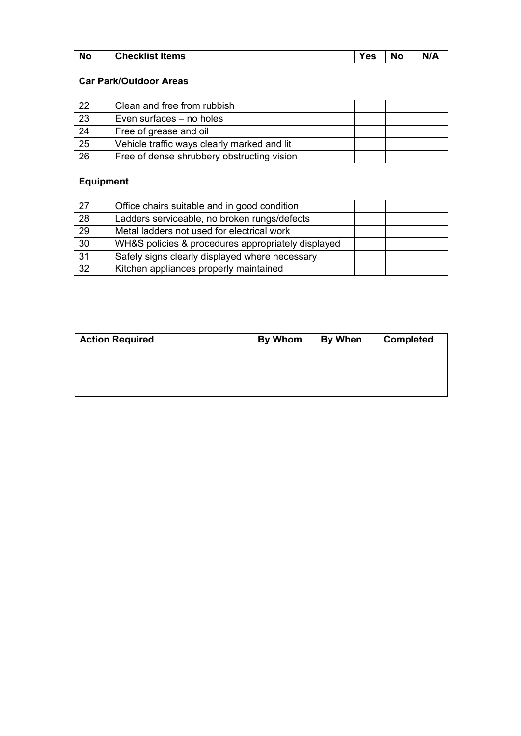| <b>No</b> | $\sim$ $\sim$ $\sim$<br>Items<br>้ neckiis).<br>ີ | $\mathbf{c}$<br>-- | <b>Nc</b><br>and the state of the state of the state | .<br>N<br>' A<br>$\mathbf{u}$ |
|-----------|---------------------------------------------------|--------------------|------------------------------------------------------|-------------------------------|
|           |                                                   |                    |                                                      |                               |

## **Car Park/Outdoor Areas**

| 22 | Clean and free from rubbish                 |  |  |
|----|---------------------------------------------|--|--|
| 23 | Even surfaces – no holes                    |  |  |
| 24 | Free of grease and oil                      |  |  |
| 25 | Vehicle traffic ways clearly marked and lit |  |  |
| 26 | Free of dense shrubbery obstructing vision  |  |  |

# **Equipment**

| 27              | Office chairs suitable and in good condition       |  |  |
|-----------------|----------------------------------------------------|--|--|
| 28              | Ladders serviceable, no broken rungs/defects       |  |  |
| 29              | Metal ladders not used for electrical work         |  |  |
| 30              | WH&S policies & procedures appropriately displayed |  |  |
| 31              | Safety signs clearly displayed where necessary     |  |  |
| $\overline{32}$ | Kitchen appliances properly maintained             |  |  |

| <b>Action Required</b> | By Whom | <b>By When</b> | <b>Completed</b> |
|------------------------|---------|----------------|------------------|
|                        |         |                |                  |
|                        |         |                |                  |
|                        |         |                |                  |
|                        |         |                |                  |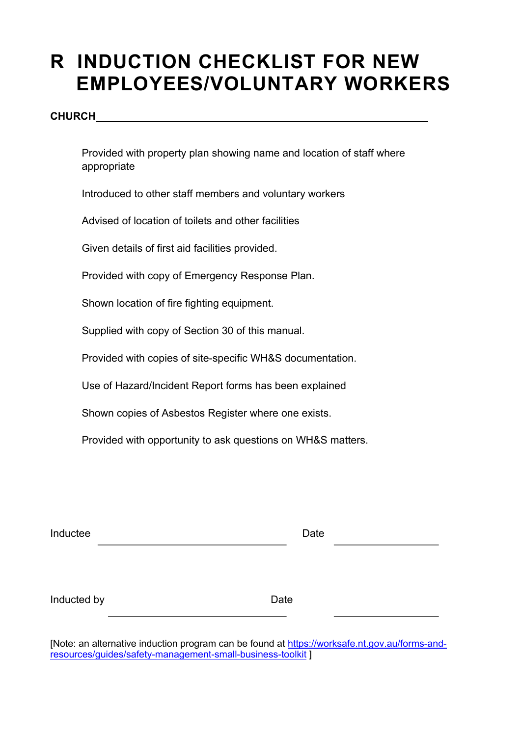# **R INDUCTION CHECKLIST FOR NEW EMPLOYEES/VOLUNTARY WORKERS**

## **CHURCH**

 Provided with property plan showing name and location of staff where appropriate

Introduced to other staff members and voluntary workers

Advised of location of toilets and other facilities

Given details of first aid facilities provided.

Provided with copy of Emergency Response Plan.

Shown location of fire fighting equipment.

Supplied with copy of Section 30 of this manual.

Provided with copies of site-specific WH&S documentation.

Use of Hazard/Incident Report forms has been explained

Shown copies of Asbestos Register where one exists.

Provided with opportunity to ask questions on WH&S matters.

| Inductee |  | Date |  |
|----------|--|------|--|
|          |  |      |  |

| Inducted by | Date |
|-------------|------|
|             |      |

[Note: an alternative induction program can be found at https://worksafe.nt.gov.au/forms-andresources/guides/safety-management-small-business-toolkit ]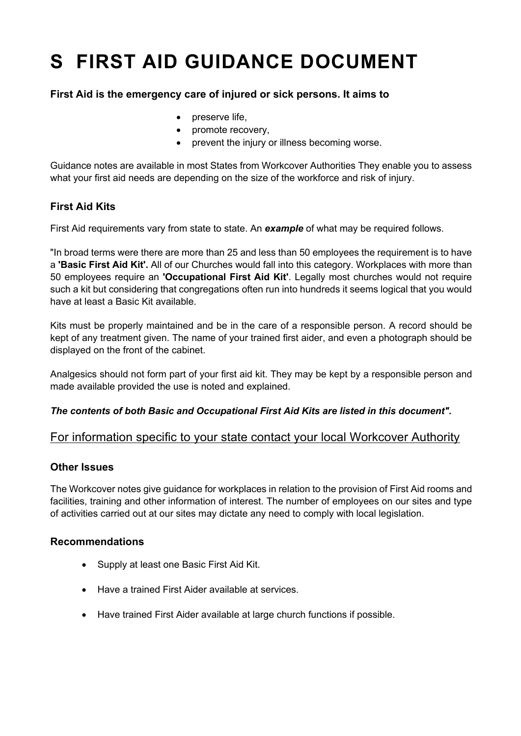# **S FIRST AID GUIDANCE DOCUMENT**

## **First Aid is the emergency care of injured or sick persons. It aims to**

- preserve life,
- promote recovery,
- prevent the injury or illness becoming worse.

Guidance notes are available in most States from Workcover Authorities They enable you to assess what your first aid needs are depending on the size of the workforce and risk of injury.

# **First Aid Kits**

First Aid requirements vary from state to state. An *example* of what may be required follows.

"In broad terms were there are more than 25 and less than 50 employees the requirement is to have a **'Basic First Aid Kit'.** All of our Churches would fall into this category. Workplaces with more than 50 employees require an **'Occupational First Aid Kit'**. Legally most churches would not require such a kit but considering that congregations often run into hundreds it seems logical that you would have at least a Basic Kit available.

Kits must be properly maintained and be in the care of a responsible person. A record should be kept of any treatment given. The name of your trained first aider, and even a photograph should be displayed on the front of the cabinet.

Analgesics should not form part of your first aid kit. They may be kept by a responsible person and made available provided the use is noted and explained.

## *The contents of both Basic and Occupational First Aid Kits are listed in this document".*

# For information specific to your state contact your local Workcover Authority

## **Other Issues**

The Workcover notes give guidance for workplaces in relation to the provision of First Aid rooms and facilities, training and other information of interest. The number of employees on our sites and type of activities carried out at our sites may dictate any need to comply with local legislation.

## **Recommendations**

- Supply at least one Basic First Aid Kit.
- Have a trained First Aider available at services.
- Have trained First Aider available at large church functions if possible.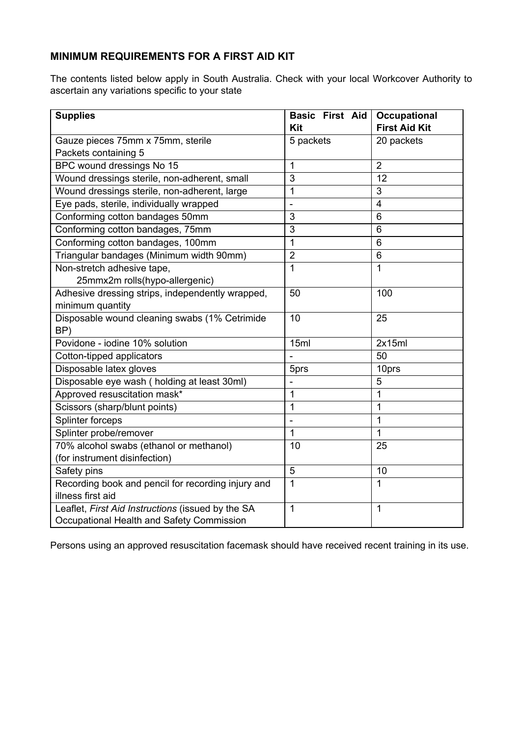# **MINIMUM REQUIREMENTS FOR A FIRST AID KIT**

The contents listed below apply in South Australia. Check with your local Workcover Authority to ascertain any variations specific to your state

| <b>Supplies</b>                                    | Basic First Aid | <b>Occupational</b>  |
|----------------------------------------------------|-----------------|----------------------|
|                                                    | Kit             | <b>First Aid Kit</b> |
| Gauze pieces 75mm x 75mm, sterile                  | 5 packets       | 20 packets           |
| Packets containing 5                               |                 |                      |
| BPC wound dressings No 15                          | 1               | $\overline{2}$       |
| Wound dressings sterile, non-adherent, small       | 3               | 12                   |
| Wound dressings sterile, non-adherent, large       | 1               | 3                    |
| Eye pads, sterile, individually wrapped            |                 | $\overline{4}$       |
| Conforming cotton bandages 50mm                    | 3               | 6                    |
| Conforming cotton bandages, 75mm                   | 3               | 6                    |
| Conforming cotton bandages, 100mm                  | 1               | 6                    |
| Triangular bandages (Minimum width 90mm)           | $\overline{2}$  | 6                    |
| Non-stretch adhesive tape,                         | $\mathbf{1}$    | 1                    |
| 25mmx2m rolls(hypo-allergenic)                     |                 |                      |
| Adhesive dressing strips, independently wrapped,   | 50              | 100                  |
| minimum quantity                                   |                 |                      |
| Disposable wound cleaning swabs (1% Cetrimide      | 10              | 25                   |
| BP)                                                |                 |                      |
| Povidone - iodine 10% solution                     | 15ml            | 2x15ml               |
| Cotton-tipped applicators                          |                 | 50                   |
| Disposable latex gloves                            | 5prs            | 10prs                |
| Disposable eye wash (holding at least 30ml)        |                 | 5                    |
| Approved resuscitation mask*                       | 1               | 1                    |
| Scissors (sharp/blunt points)                      | 1               | 1                    |
| Splinter forceps                                   |                 | $\mathbf{1}$         |
| Splinter probe/remover                             | 1               | 1                    |
| 70% alcohol swabs (ethanol or methanol)            | 10              | 25                   |
| (for instrument disinfection)                      |                 |                      |
| Safety pins                                        | 5               | 10                   |
| Recording book and pencil for recording injury and | 1               | 1                    |
| illness first aid                                  |                 |                      |
| Leaflet, First Aid Instructions (issued by the SA  | $\mathbf{1}$    | $\mathbf{1}$         |
| Occupational Health and Safety Commission          |                 |                      |

Persons using an approved resuscitation facemask should have received recent training in its use.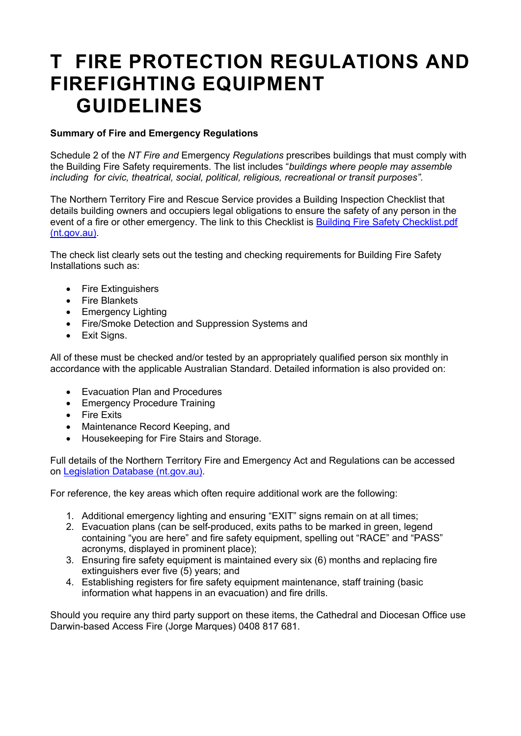# **T FIRE PROTECTION REGULATIONS AND FIREFIGHTING EQUIPMENT GUIDELINES**

## **Summary of Fire and Emergency Regulations**

Schedule 2 of the *NT Fire and* Emergency *Regulations* prescribes buildings that must comply with the Building Fire Safety requirements. The list includes "*buildings where people may assemble including for civic, theatrical, social, political, religious, recreational or transit purposes".*

The Northern Territory Fire and Rescue Service provides a Building Inspection Checklist that details building owners and occupiers legal obligations to ensure the safety of any person in the event of a fire or other emergency. The link to this Checklist is **Building Fire Safety Checklist.pdf** (nt.gov.au).

The check list clearly sets out the testing and checking requirements for Building Fire Safety Installations such as:

- Fire Extinguishers
- Fire Blankets
- Emergency Lighting
- Fire/Smoke Detection and Suppression Systems and
- Exit Signs.

All of these must be checked and/or tested by an appropriately qualified person six monthly in accordance with the applicable Australian Standard. Detailed information is also provided on:

- Evacuation Plan and Procedures
- Emergency Procedure Training
- Fire Exits
- Maintenance Record Keeping, and
- Housekeeping for Fire Stairs and Storage.

Full details of the Northern Territory Fire and Emergency Act and Regulations can be accessed on Legislation Database (nt.gov.au).

For reference, the key areas which often require additional work are the following:

- 1. Additional emergency lighting and ensuring "EXIT" signs remain on at all times;
- 2. Evacuation plans (can be self-produced, exits paths to be marked in green, legend containing "you are here" and fire safety equipment, spelling out "RACE" and "PASS" acronyms, displayed in prominent place);
- 3. Ensuring fire safety equipment is maintained every six (6) months and replacing fire extinguishers ever five (5) years; and
- 4. Establishing registers for fire safety equipment maintenance, staff training (basic information what happens in an evacuation) and fire drills.

Should you require any third party support on these items, the Cathedral and Diocesan Office use Darwin-based Access Fire (Jorge Marques) 0408 817 681.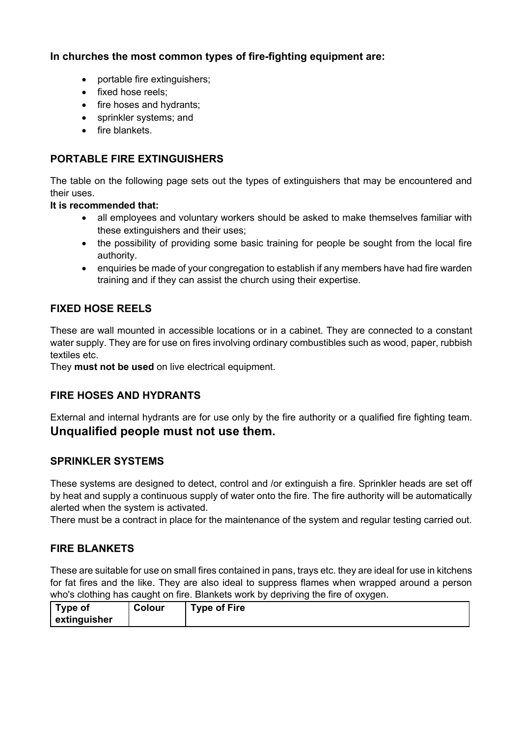# **In churches the most common types of fire-fighting equipment are:**

- portable fire extinguishers;
- fixed hose reels:
- fire hoses and hydrants;
- sprinkler systems; and
- fire blankets.

# **PORTABLE FIRE EXTINGUISHERS**

The table on the following page sets out the types of extinguishers that may be encountered and their uses.

## **It is recommended that:**

- all employees and voluntary workers should be asked to make themselves familiar with these extinguishers and their uses;
- the possibility of providing some basic training for people be sought from the local fire authority.
- enquiries be made of your congregation to establish if any members have had fire warden training and if they can assist the church using their expertise.

# **FIXED HOSE REELS**

These are wall mounted in accessible locations or in a cabinet. They are connected to a constant water supply. They are for use on fires involving ordinary combustibles such as wood, paper, rubbish textiles etc.

They **must not be used** on live electrical equipment.

# **FIRE HOSES AND HYDRANTS**

External and internal hydrants are for use only by the fire authority or a qualified fire fighting team. **Unqualified people must not use them.**

## **SPRINKLER SYSTEMS**

These systems are designed to detect, control and /or extinguish a fire. Sprinkler heads are set off by heat and supply a continuous supply of water onto the fire. The fire authority will be automatically alerted when the system is activated.

There must be a contract in place for the maintenance of the system and regular testing carried out.

# **FIRE BLANKETS**

These are suitable for use on small fires contained in pans, trays etc. they are ideal for use in kitchens for fat fires and the like. They are also ideal to suppress flames when wrapped around a person who's clothing has caught on fire. Blankets work by depriving the fire of oxygen.

| Type of      | Colour | $Type of Fire$ |  |  |
|--------------|--------|----------------|--|--|
| extinguisher |        |                |  |  |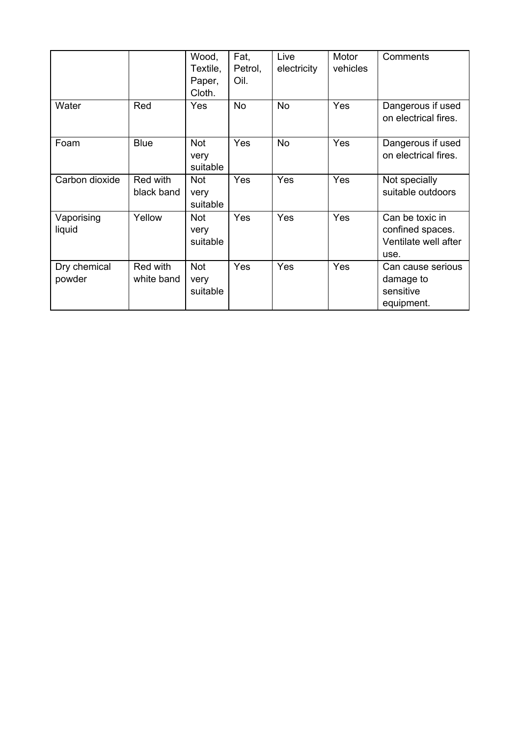|                        |                        | Wood,<br>Textile,<br>Paper,<br>Cloth. | Fat,<br>Petrol,<br>Oil. | Live<br>electricity | Motor<br>vehicles | Comments                                                            |
|------------------------|------------------------|---------------------------------------|-------------------------|---------------------|-------------------|---------------------------------------------------------------------|
| Water                  | Red                    | Yes                                   | <b>No</b>               | <b>No</b>           | Yes               | Dangerous if used<br>on electrical fires.                           |
| Foam                   | <b>Blue</b>            | Not<br>very<br>suitable               | Yes                     | <b>No</b>           | Yes               | Dangerous if used<br>on electrical fires.                           |
| Carbon dioxide         | Red with<br>black band | <b>Not</b><br>very<br>suitable        | Yes                     | Yes                 | Yes               | Not specially<br>suitable outdoors                                  |
| Vaporising<br>liquid   | Yellow                 | <b>Not</b><br>very<br>suitable        | Yes                     | Yes                 | Yes               | Can be toxic in<br>confined spaces.<br>Ventilate well after<br>use. |
| Dry chemical<br>powder | Red with<br>white band | <b>Not</b><br>very<br>suitable        | Yes                     | Yes                 | Yes               | Can cause serious<br>damage to<br>sensitive<br>equipment.           |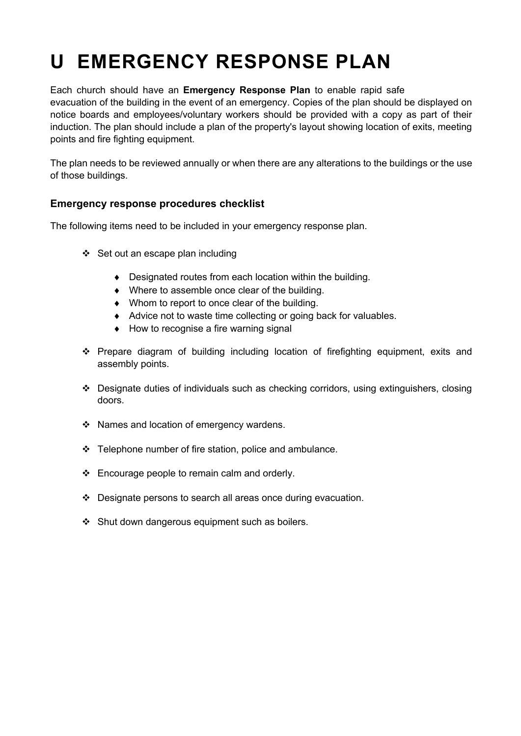# **U EMERGENCY RESPONSE PLAN**

Each church should have an **Emergency Response Plan** to enable rapid safe evacuation of the building in the event of an emergency. Copies of the plan should be displayed on notice boards and employees/voluntary workers should be provided with a copy as part of their induction. The plan should include a plan of the property's layout showing location of exits, meeting points and fire fighting equipment.

The plan needs to be reviewed annually or when there are any alterations to the buildings or the use of those buildings.

## **Emergency response procedures checklist**

The following items need to be included in your emergency response plan.

- $\div$  Set out an escape plan including
	- $\bullet$  Designated routes from each location within the building.
	- $\bullet$  Where to assemble once clear of the building.
	- $\bullet$  Whom to report to once clear of the building.
	- $\triangleleft$  Advice not to waste time collecting or going back for valuables.
	- $\bullet$  How to recognise a fire warning signal
- \* Prepare diagram of building including location of firefighting equipment, exits and assembly points.
- \* Designate duties of individuals such as checking corridors, using extinguishers, closing doors.
- ❖ Names and location of emergency wardens.
- $\div$  Telephone number of fire station, police and ambulance.
- $\div$  Encourage people to remain calm and orderly.
- $\cdot$  Designate persons to search all areas once during evacuation.
- $\div$  Shut down dangerous equipment such as boilers.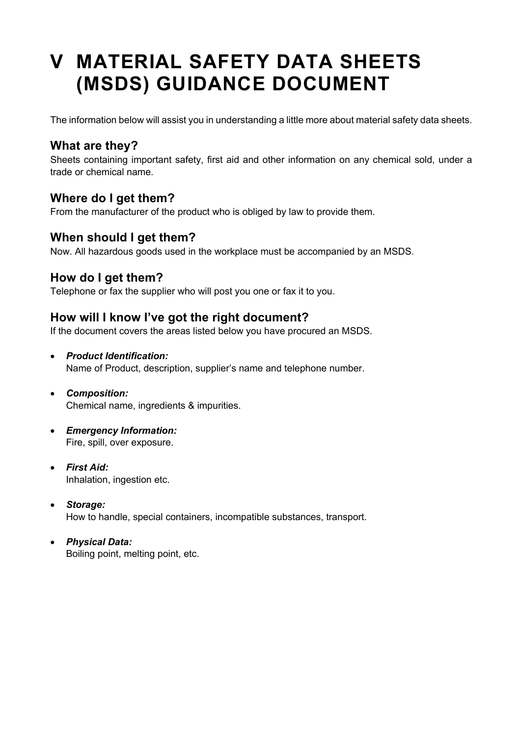# **V MATERIAL SAFETY DATA SHEETS (MSDS) GUIDANCE DOCUMENT**

The information below will assist you in understanding a little more about material safety data sheets.

# **What are they?**

Sheets containing important safety, first aid and other information on any chemical sold, under a trade or chemical name.

# **Where do I get them?**

From the manufacturer of the product who is obliged by law to provide them.

# **When should I get them?**

Now. All hazardous goods used in the workplace must be accompanied by an MSDS.

# **How do I get them?**

Telephone or fax the supplier who will post you one or fax it to you.

# **How will I know I've got the right document?**

If the document covers the areas listed below you have procured an MSDS.

- *Product Identification:* Name of Product, description, supplier's name and telephone number.
- *Composition:* Chemical name, ingredients & impurities.
- *Emergency Information:* Fire, spill, over exposure.
- *First Aid:* Inhalation, ingestion etc.
- *Storage:* How to handle, special containers, incompatible substances, transport.
- *Physical Data:* Boiling point, melting point, etc.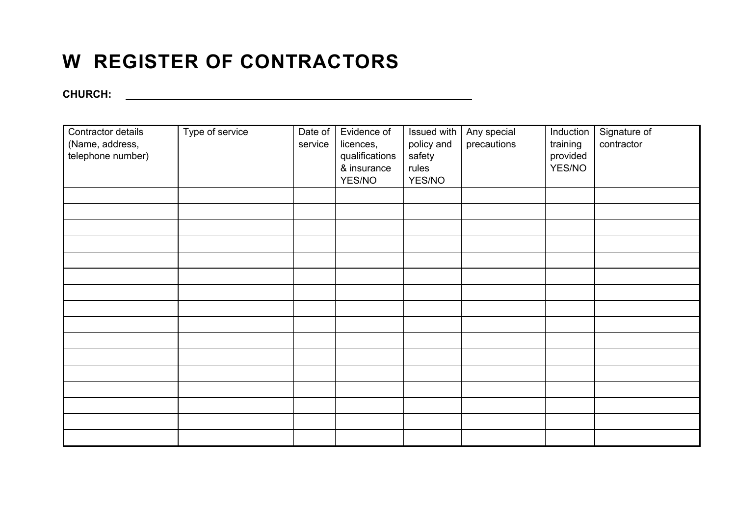# **W REGISTER OF CONTRACTORS**

**CHURCH:**

| Contractor details | Type of service | Date of | Evidence of    | Issued with | Any special | Induction | Signature of |
|--------------------|-----------------|---------|----------------|-------------|-------------|-----------|--------------|
| (Name, address,    |                 | service | licences,      | policy and  | precautions | training  | contractor   |
| telephone number)  |                 |         | qualifications | safety      |             | provided  |              |
|                    |                 |         | & insurance    | rules       |             | YES/NO    |              |
|                    |                 |         | YES/NO         | YES/NO      |             |           |              |
|                    |                 |         |                |             |             |           |              |
|                    |                 |         |                |             |             |           |              |
|                    |                 |         |                |             |             |           |              |
|                    |                 |         |                |             |             |           |              |
|                    |                 |         |                |             |             |           |              |
|                    |                 |         |                |             |             |           |              |
|                    |                 |         |                |             |             |           |              |
|                    |                 |         |                |             |             |           |              |
|                    |                 |         |                |             |             |           |              |
|                    |                 |         |                |             |             |           |              |
|                    |                 |         |                |             |             |           |              |
|                    |                 |         |                |             |             |           |              |
|                    |                 |         |                |             |             |           |              |
|                    |                 |         |                |             |             |           |              |
|                    |                 |         |                |             |             |           |              |
|                    |                 |         |                |             |             |           |              |
|                    |                 |         |                |             |             |           |              |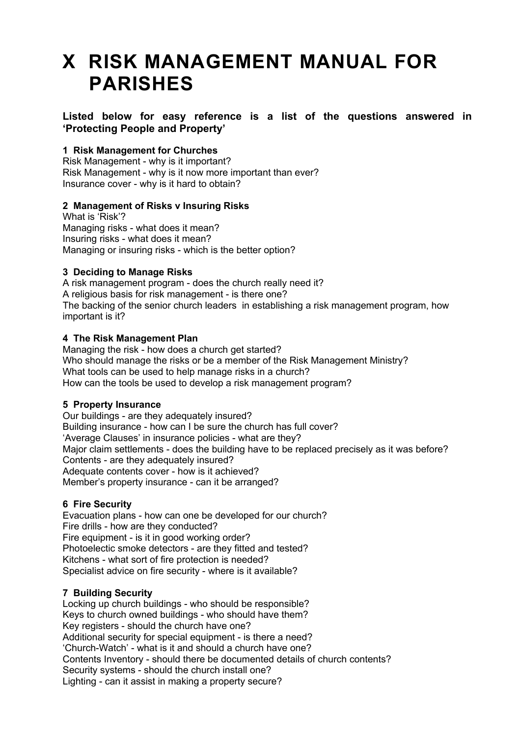# **X RISK MANAGEMENT MANUAL FOR PARISHES**

## **Listed below for easy reference is a list of the questions answered in 'Protecting People and Property'**

## **1 Risk Management for Churches**

Risk Management - why is it important? Risk Management - why is it now more important than ever? Insurance cover - why is it hard to obtain?

## **2 Management of Risks v Insuring Risks**

What is 'Risk'? Managing risks - what does it mean? Insuring risks - what does it mean? Managing or insuring risks - which is the better option?

## **3 Deciding to Manage Risks**

A risk management program - does the church really need it? A religious basis for risk management - is there one? The backing of the senior church leaders in establishing a risk management program, how important is it?

## **4 The Risk Management Plan**

Managing the risk - how does a church get started? Who should manage the risks or be a member of the Risk Management Ministry? What tools can be used to help manage risks in a church? How can the tools be used to develop a risk management program?

## **5 Property Insurance**

Our buildings - are they adequately insured? Building insurance - how can I be sure the church has full cover? 'Average Clauses' in insurance policies - what are they? Major claim settlements - does the building have to be replaced precisely as it was before? Contents - are they adequately insured? Adequate contents cover - how is it achieved? Member's property insurance - can it be arranged?

## **6 Fire Security**

Evacuation plans - how can one be developed for our church? Fire drills - how are they conducted? Fire equipment - is it in good working order? Photoelectic smoke detectors - are they fitted and tested? Kitchens - what sort of fire protection is needed? Specialist advice on fire security - where is it available?

## **7 Building Security**

Locking up church buildings - who should be responsible? Keys to church owned buildings - who should have them? Key registers - should the church have one? Additional security for special equipment - is there a need? 'Church-Watch' - what is it and should a church have one? Contents Inventory - should there be documented details of church contents? Security systems - should the church install one? Lighting - can it assist in making a property secure?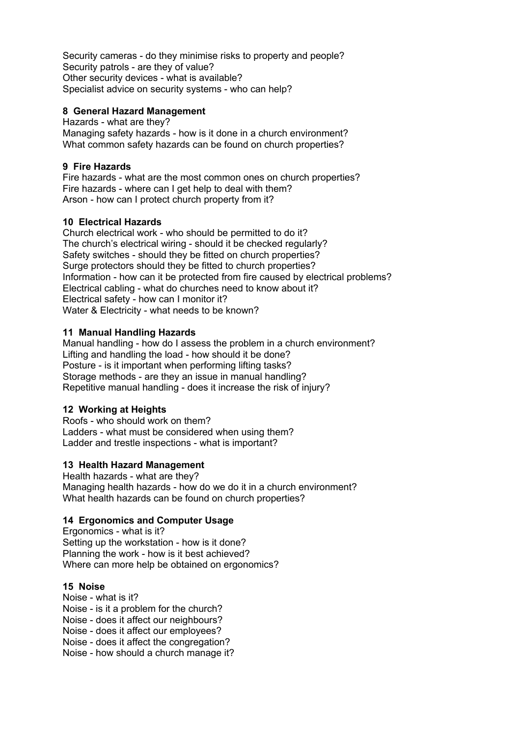Security cameras - do they minimise risks to property and people? Security patrols - are they of value? Other security devices - what is available? Specialist advice on security systems - who can help?

## **8 General Hazard Management**

Hazards - what are they? Managing safety hazards - how is it done in a church environment? What common safety hazards can be found on church properties?

## **9 Fire Hazards**

Fire hazards - what are the most common ones on church properties? Fire hazards - where can I get help to deal with them? Arson - how can I protect church property from it?

## **10 Electrical Hazards**

Church electrical work - who should be permitted to do it? The church's electrical wiring - should it be checked regularly? Safety switches - should they be fitted on church properties? Surge protectors should they be fitted to church properties? Information - how can it be protected from fire caused by electrical problems? Electrical cabling - what do churches need to know about it? Electrical safety - how can I monitor it? Water & Electricity - what needs to be known?

## **11 Manual Handling Hazards**

Manual handling - how do I assess the problem in a church environment? Lifting and handling the load - how should it be done? Posture - is it important when performing lifting tasks? Storage methods - are they an issue in manual handling? Repetitive manual handling - does it increase the risk of injury?

## **12 Working at Heights**

Roofs - who should work on them? Ladders - what must be considered when using them? Ladder and trestle inspections - what is important?

## **13 Health Hazard Management**

Health hazards - what are they? Managing health hazards - how do we do it in a church environment? What health hazards can be found on church properties?

## **14 Ergonomics and Computer Usage**

Ergonomics - what is it? Setting up the workstation - how is it done? Planning the work - how is it best achieved? Where can more help be obtained on ergonomics?

## **15 Noise**

Noise - what is it?

Noise - is it a problem for the church?

Noise - does it affect our neighbours?

Noise - does it affect our employees?

Noise - does it affect the congregation?

Noise - how should a church manage it?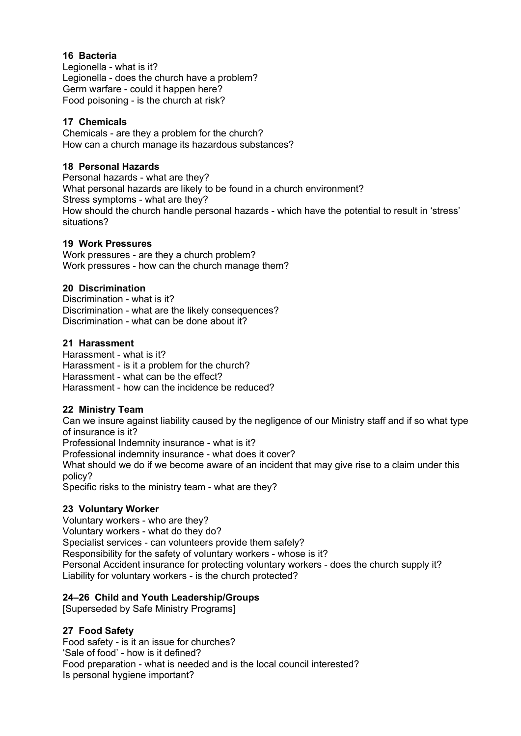## **16 Bacteria**

Legionella - what is it? Legionella - does the church have a problem? Germ warfare - could it happen here? Food poisoning - is the church at risk?

## **17 Chemicals**

Chemicals - are they a problem for the church? How can a church manage its hazardous substances?

## **18 Personal Hazards**

Personal hazards - what are they? What personal hazards are likely to be found in a church environment? Stress symptoms - what are they? How should the church handle personal hazards - which have the potential to result in 'stress' situations?

## **19 Work Pressures**

Work pressures - are they a church problem? Work pressures - how can the church manage them?

#### **20 Discrimination**

Discrimination - what is it? Discrimination - what are the likely consequences? Discrimination - what can be done about it?

## **21 Harassment**

Harassment - what is it? Harassment - is it a problem for the church? Harassment - what can be the effect? Harassment - how can the incidence be reduced?

## **22 Ministry Team**

Can we insure against liability caused by the negligence of our Ministry staff and if so what type of insurance is it?

Professional Indemnity insurance - what is it?

Professional indemnity insurance - what does it cover?

What should we do if we become aware of an incident that may give rise to a claim under this policy?

Specific risks to the ministry team - what are they?

## **23 Voluntary Worker**

Voluntary workers - who are they? Voluntary workers - what do they do? Specialist services - can volunteers provide them safely? Responsibility for the safety of voluntary workers - whose is it? Personal Accident insurance for protecting voluntary workers - does the church supply it? Liability for voluntary workers - is the church protected?

## **24–26 Child and Youth Leadership/Groups**

[Superseded by Safe Ministry Programs]

## **27 Food Safety**

Food safety - is it an issue for churches? 'Sale of food' - how is it defined? Food preparation - what is needed and is the local council interested? Is personal hygiene important?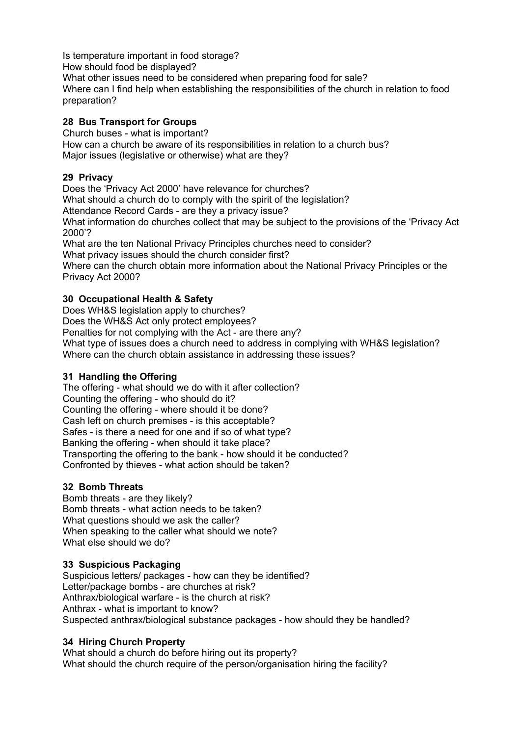Is temperature important in food storage? How should food be displayed? What other issues need to be considered when preparing food for sale? Where can I find help when establishing the responsibilities of the church in relation to food preparation?

## **28 Bus Transport for Groups**

Church buses - what is important? How can a church be aware of its responsibilities in relation to a church bus? Major issues (legislative or otherwise) what are they?

## **29 Privacy**

Does the 'Privacy Act 2000' have relevance for churches? What should a church do to comply with the spirit of the legislation? Attendance Record Cards - are they a privacy issue? What information do churches collect that may be subject to the provisions of the 'Privacy Act 2000'?

What are the ten National Privacy Principles churches need to consider?

What privacy issues should the church consider first?

Where can the church obtain more information about the National Privacy Principles or the Privacy Act 2000?

## **30 Occupational Health & Safety**

Does WH&S legislation apply to churches?

Does the WH&S Act only protect employees?

Penalties for not complying with the Act - are there any?

What type of issues does a church need to address in complying with WH&S legislation? Where can the church obtain assistance in addressing these issues?

## **31 Handling the Offering**

The offering - what should we do with it after collection? Counting the offering - who should do it? Counting the offering - where should it be done? Cash left on church premises - is this acceptable? Safes - is there a need for one and if so of what type? Banking the offering - when should it take place? Transporting the offering to the bank - how should it be conducted? Confronted by thieves - what action should be taken?

## **32 Bomb Threats**

Bomb threats - are they likely? Bomb threats - what action needs to be taken? What questions should we ask the caller? When speaking to the caller what should we note? What else should we do?

## **33 Suspicious Packaging**

Suspicious letters/ packages - how can they be identified? Letter/package bombs - are churches at risk? Anthrax/biological warfare - is the church at risk? Anthrax - what is important to know? Suspected anthrax/biological substance packages - how should they be handled?

## **34 Hiring Church Property**

What should a church do before hiring out its property? What should the church require of the person/organisation hiring the facility?